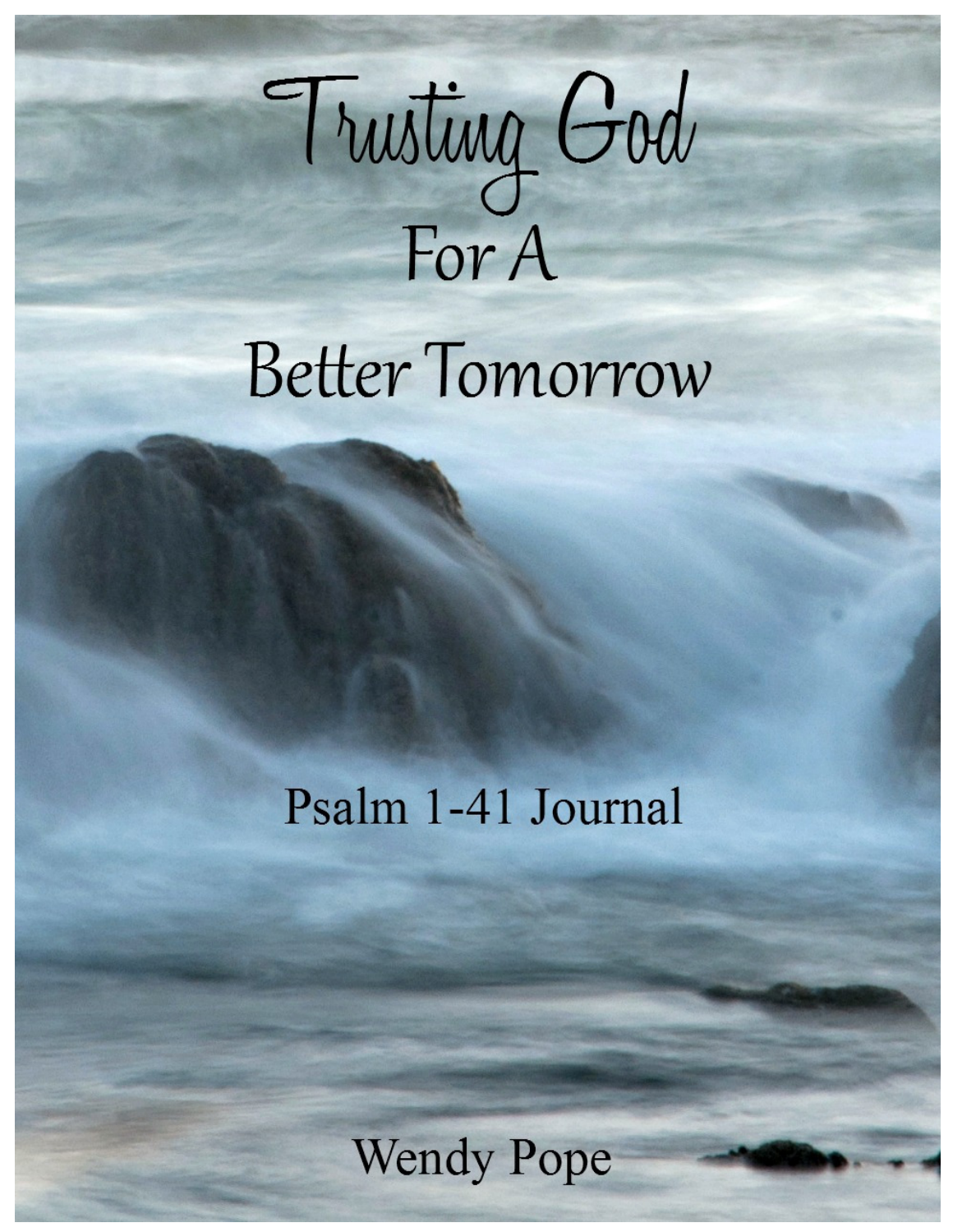

**Better Tomorrow** 

# Psalm 1-41 Journal

**Wendy Pope**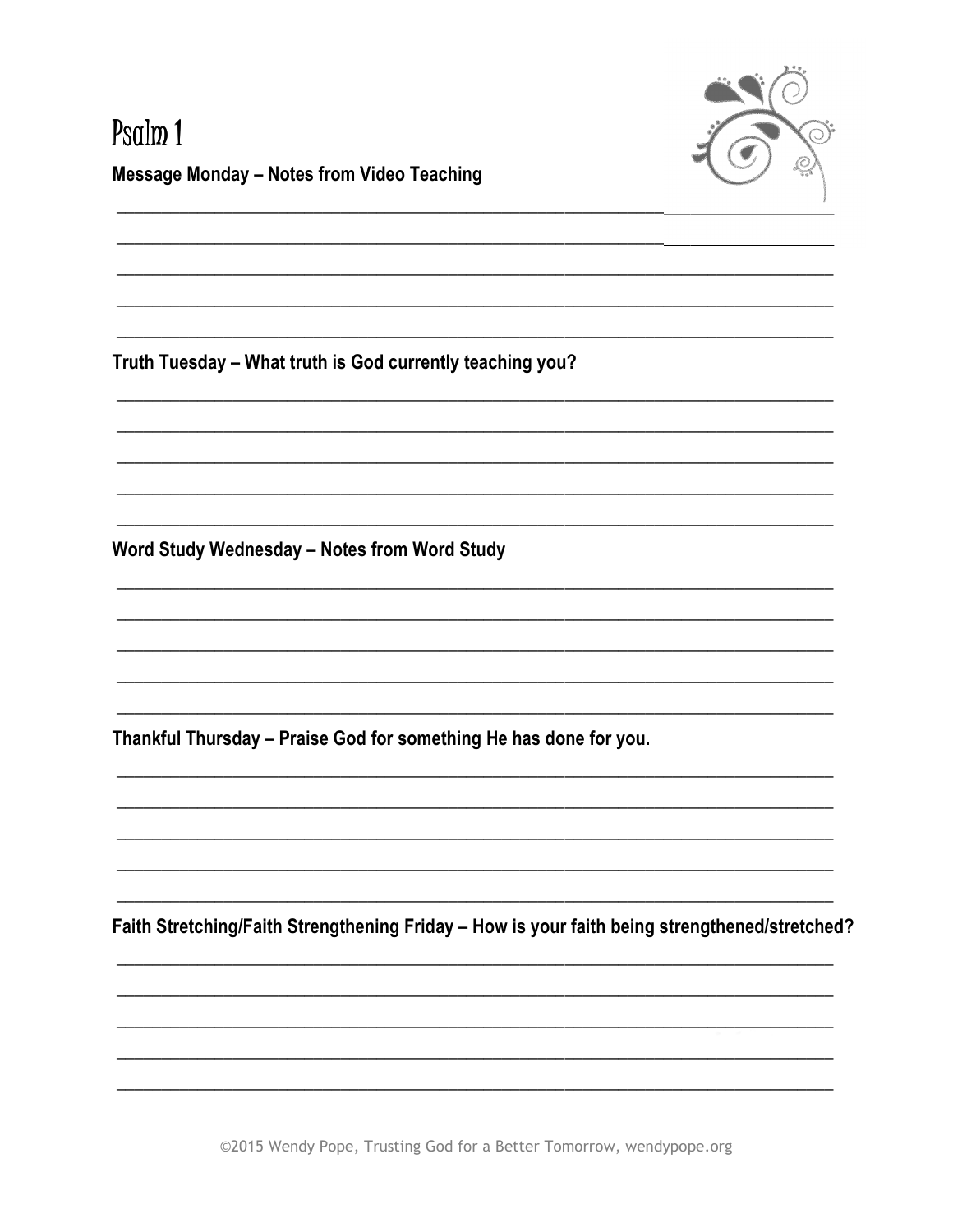

#### Psalm 1 **Message Monday - Notes from Video Teaching**

Truth Tuesday - What truth is God currently teaching you?

Word Study Wednesday - Notes from Word Study

Thankful Thursday - Praise God for something He has done for you.

Faith Stretching/Faith Strengthening Friday - How is your faith being strengthened/stretched?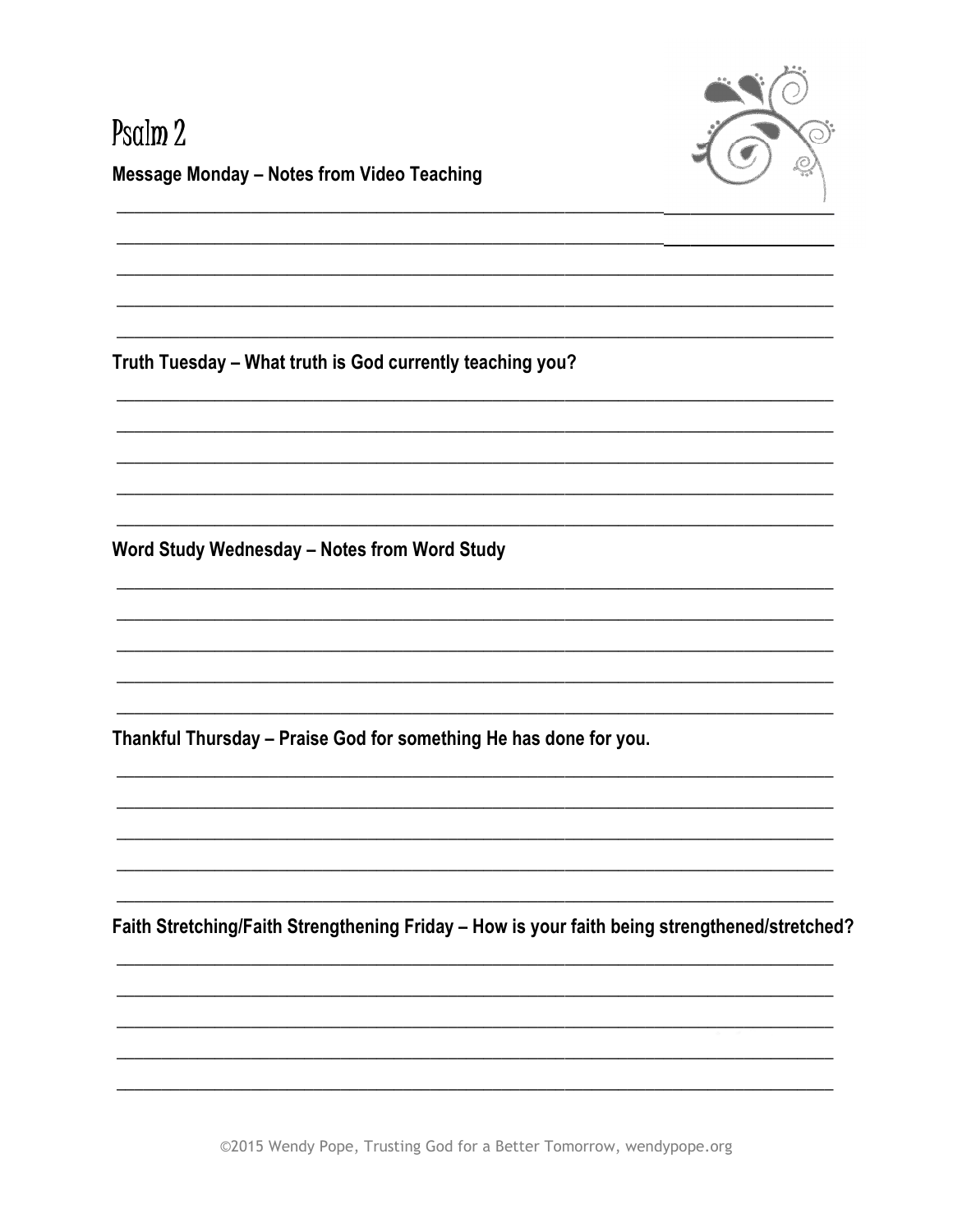

# Psalm<sub>2</sub> **Message Monday - Notes from Video Teaching**

Truth Tuesday - What truth is God currently teaching you?

Word Study Wednesday - Notes from Word Study

Thankful Thursday - Praise God for something He has done for you.

Faith Stretching/Faith Strengthening Friday - How is your faith being strengthened/stretched?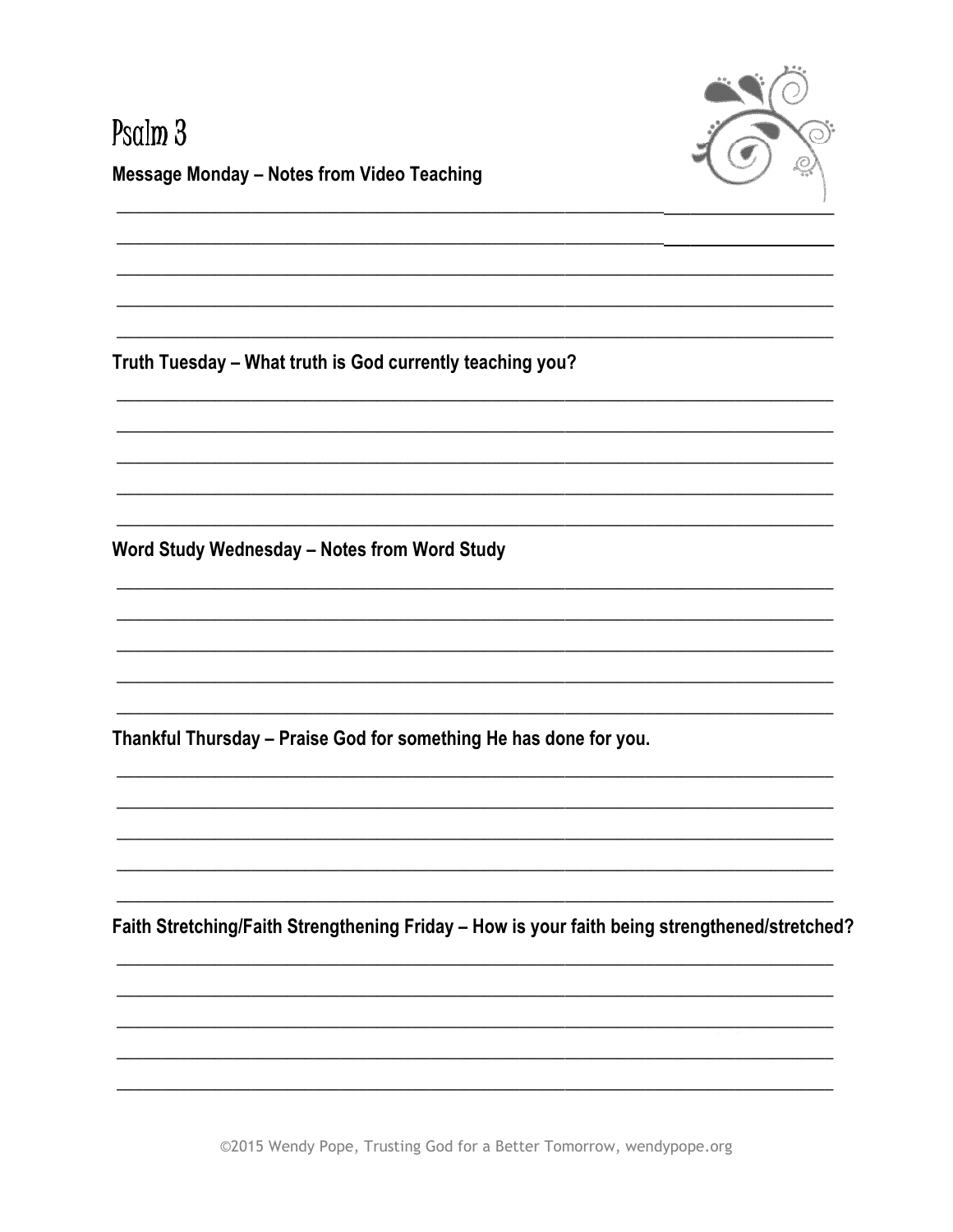

# Psalm<sub>3</sub> **Message Monday - Notes from Video Teaching**

Truth Tuesday - What truth is God currently teaching you?

Word Study Wednesday - Notes from Word Study

Thankful Thursday - Praise God for something He has done for you.

Faith Stretching/Faith Strengthening Friday - How is your faith being strengthened/stretched?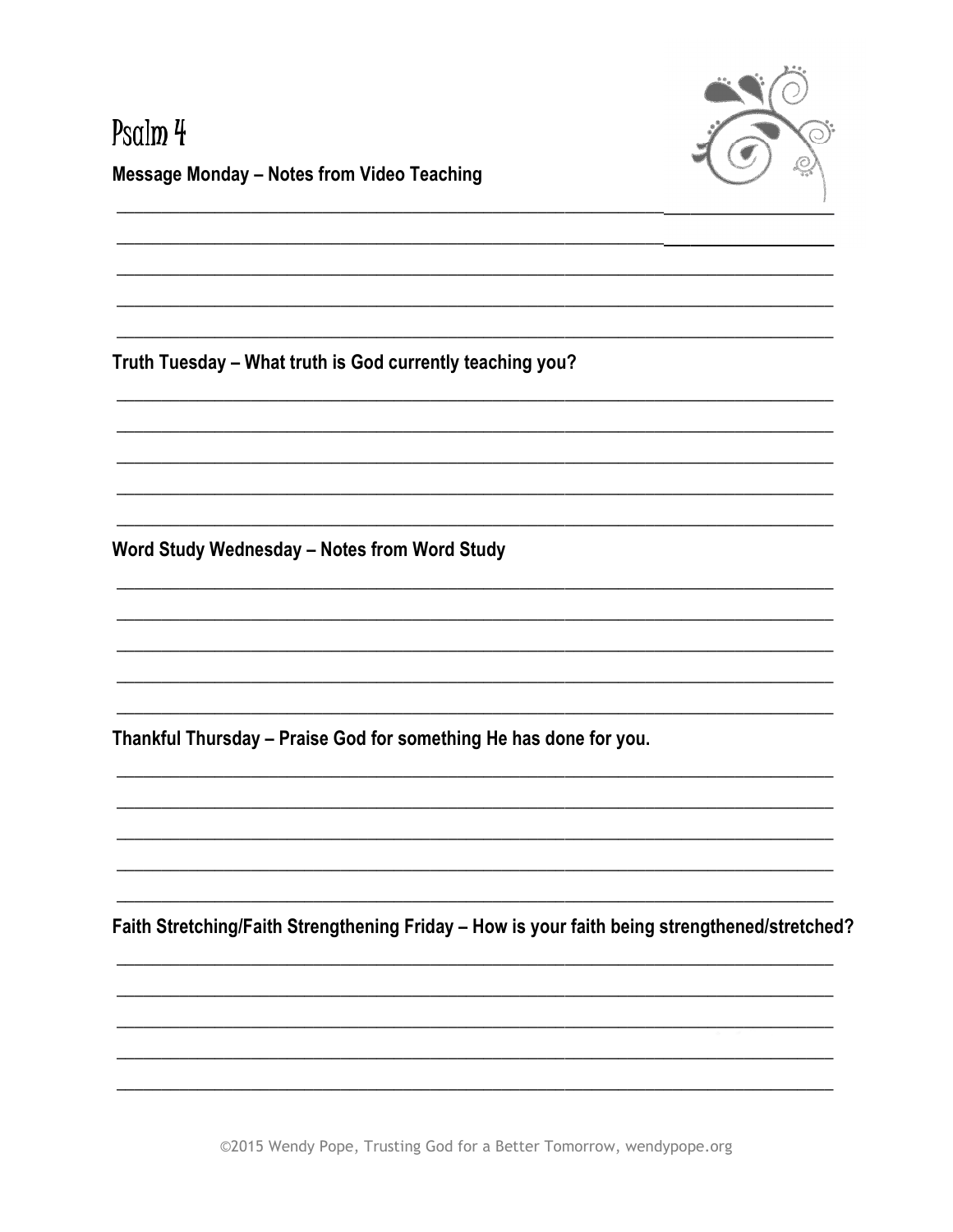

# Psalm 4 **Message Monday - Notes from Video Teaching**

Truth Tuesday - What truth is God currently teaching you?

Word Study Wednesday - Notes from Word Study

Thankful Thursday - Praise God for something He has done for you.

Faith Stretching/Faith Strengthening Friday - How is your faith being strengthened/stretched?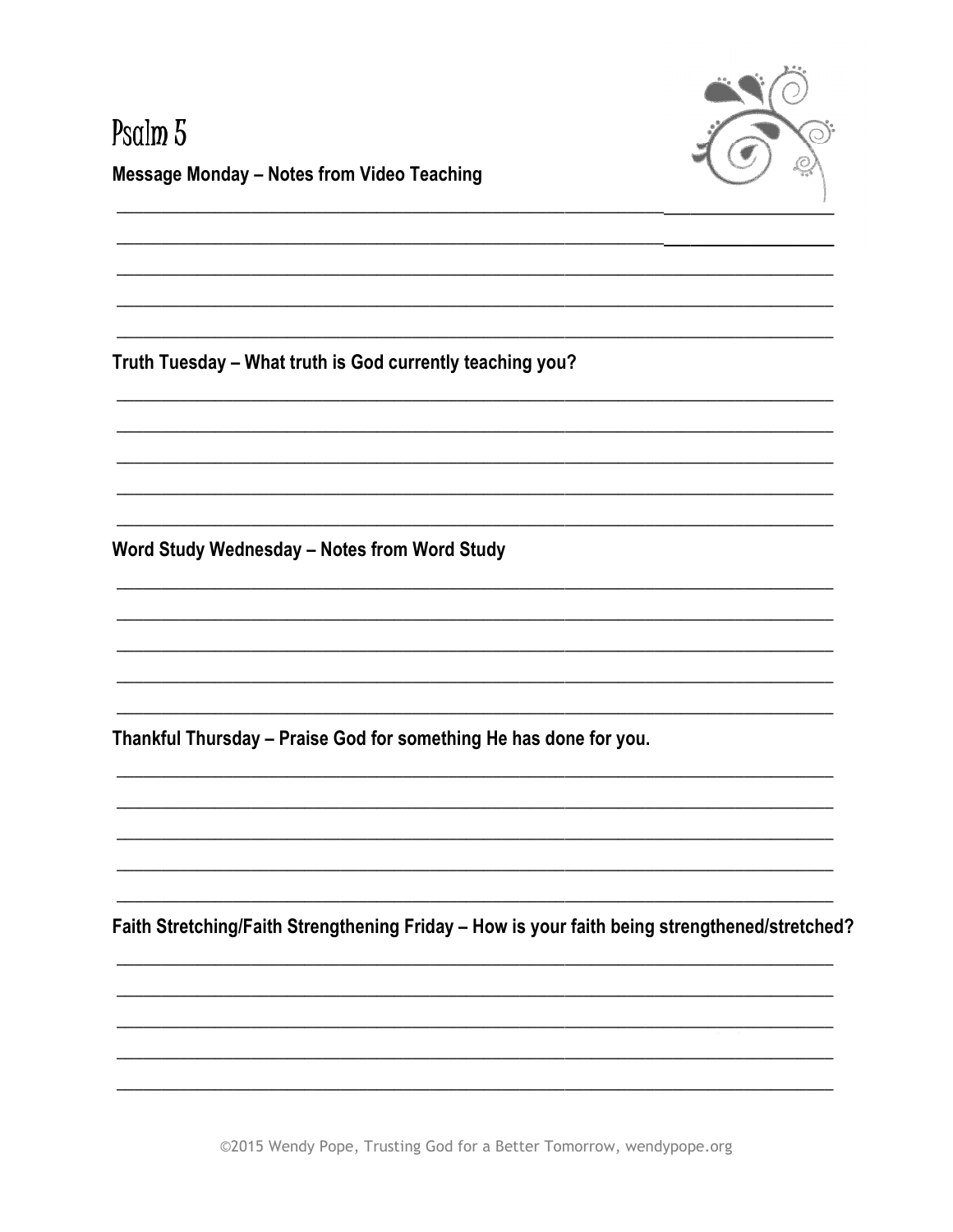

# Psalm<sub>5</sub> **Message Monday - Notes from Video Teaching**

Truth Tuesday - What truth is God currently teaching you?

Word Study Wednesday - Notes from Word Study

Thankful Thursday - Praise God for something He has done for you.

Faith Stretching/Faith Strengthening Friday - How is your faith being strengthened/stretched?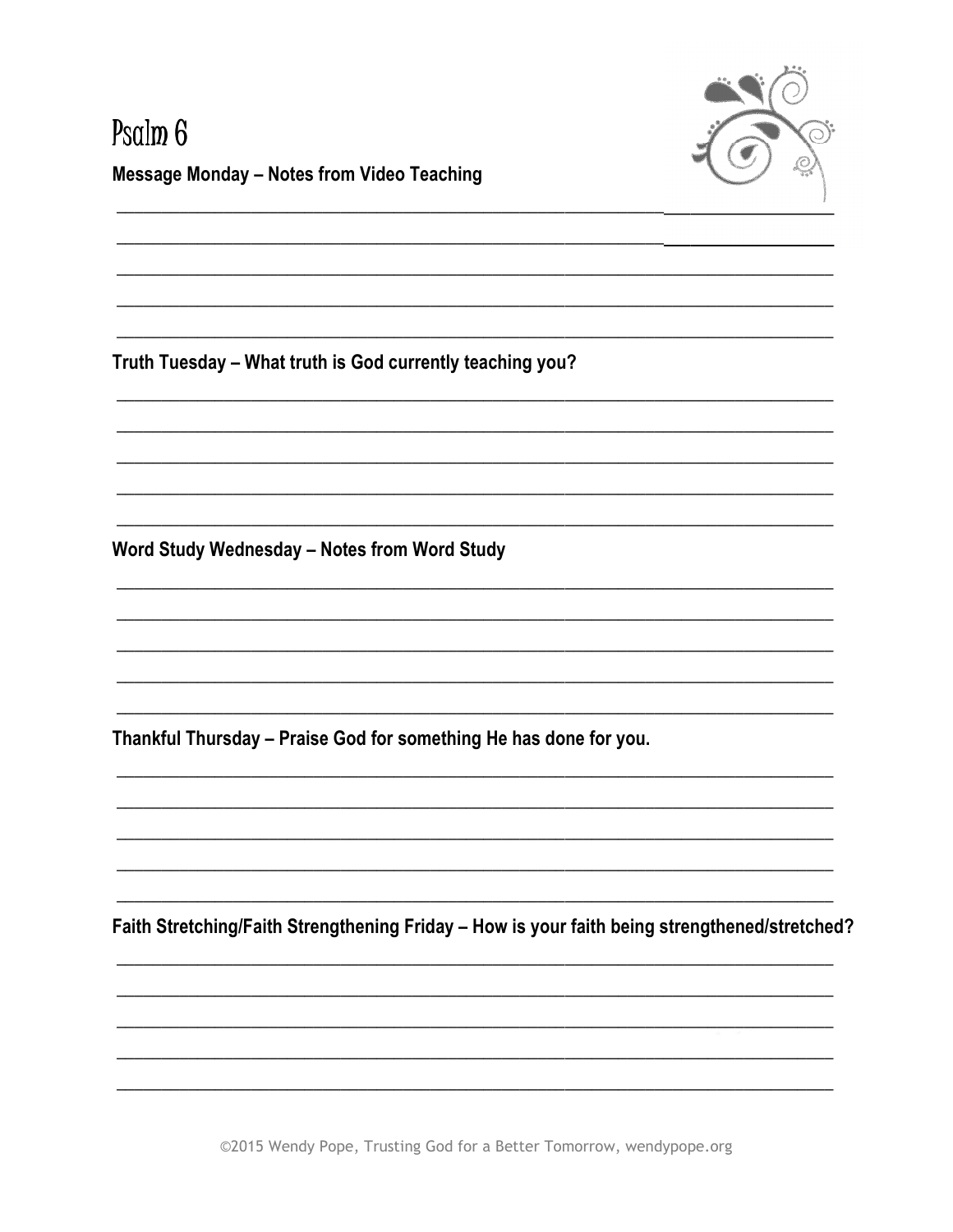

#### Psalm<sub>6</sub> **Message Monday - Notes from Video Teaching**

Truth Tuesday - What truth is God currently teaching you?

Word Study Wednesday - Notes from Word Study

Thankful Thursday - Praise God for something He has done for you.

Faith Stretching/Faith Strengthening Friday - How is your faith being strengthened/stretched?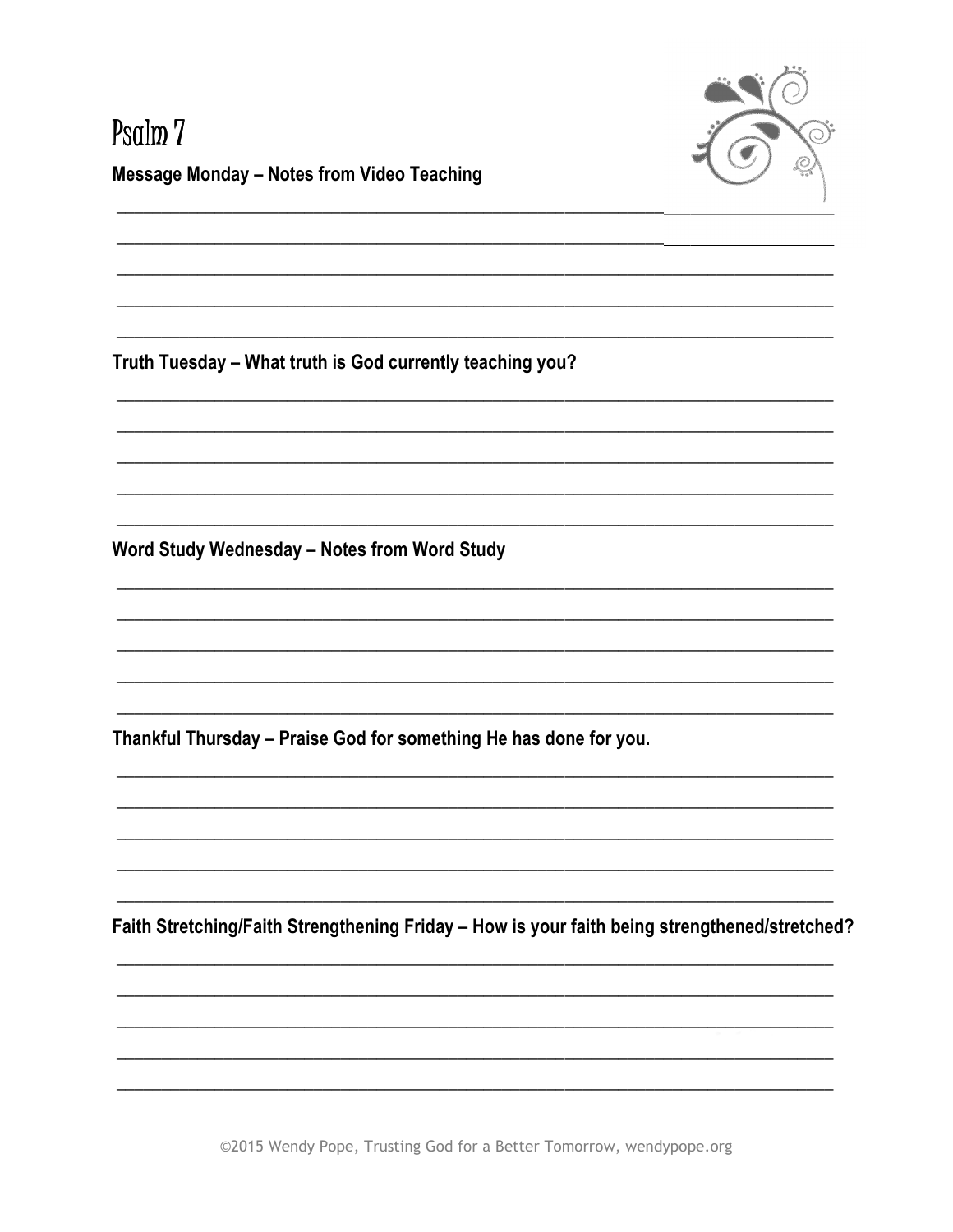

# Psalm<sub>7</sub> **Message Monday - Notes from Video Teaching**

Truth Tuesday - What truth is God currently teaching you?

Word Study Wednesday - Notes from Word Study

Thankful Thursday - Praise God for something He has done for you.

Faith Stretching/Faith Strengthening Friday - How is your faith being strengthened/stretched?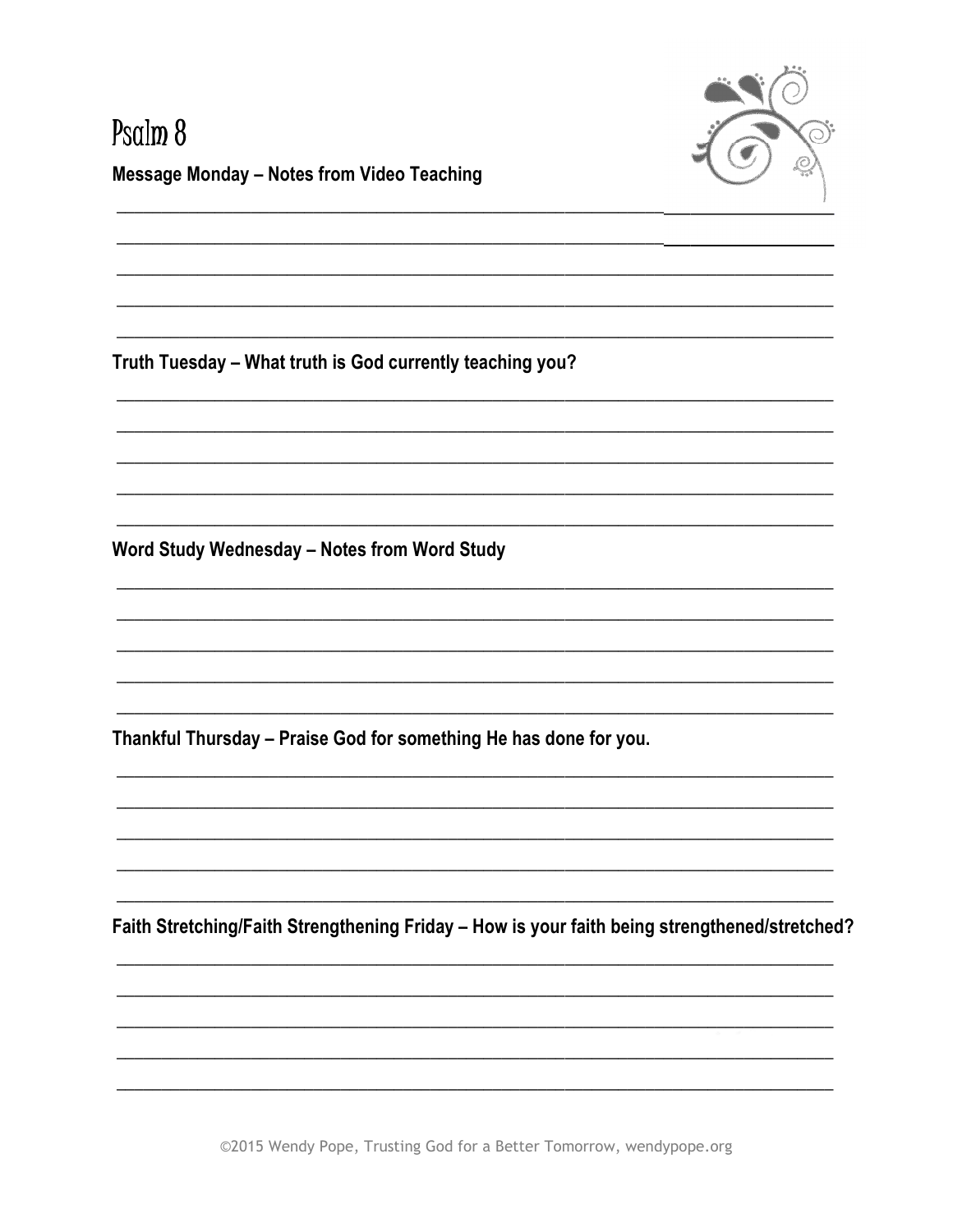

# Psalm<sub>8</sub> **Message Monday - Notes from Video Teaching**

Truth Tuesday - What truth is God currently teaching you?

Word Study Wednesday - Notes from Word Study

Thankful Thursday - Praise God for something He has done for you.

Faith Stretching/Faith Strengthening Friday - How is your faith being strengthened/stretched?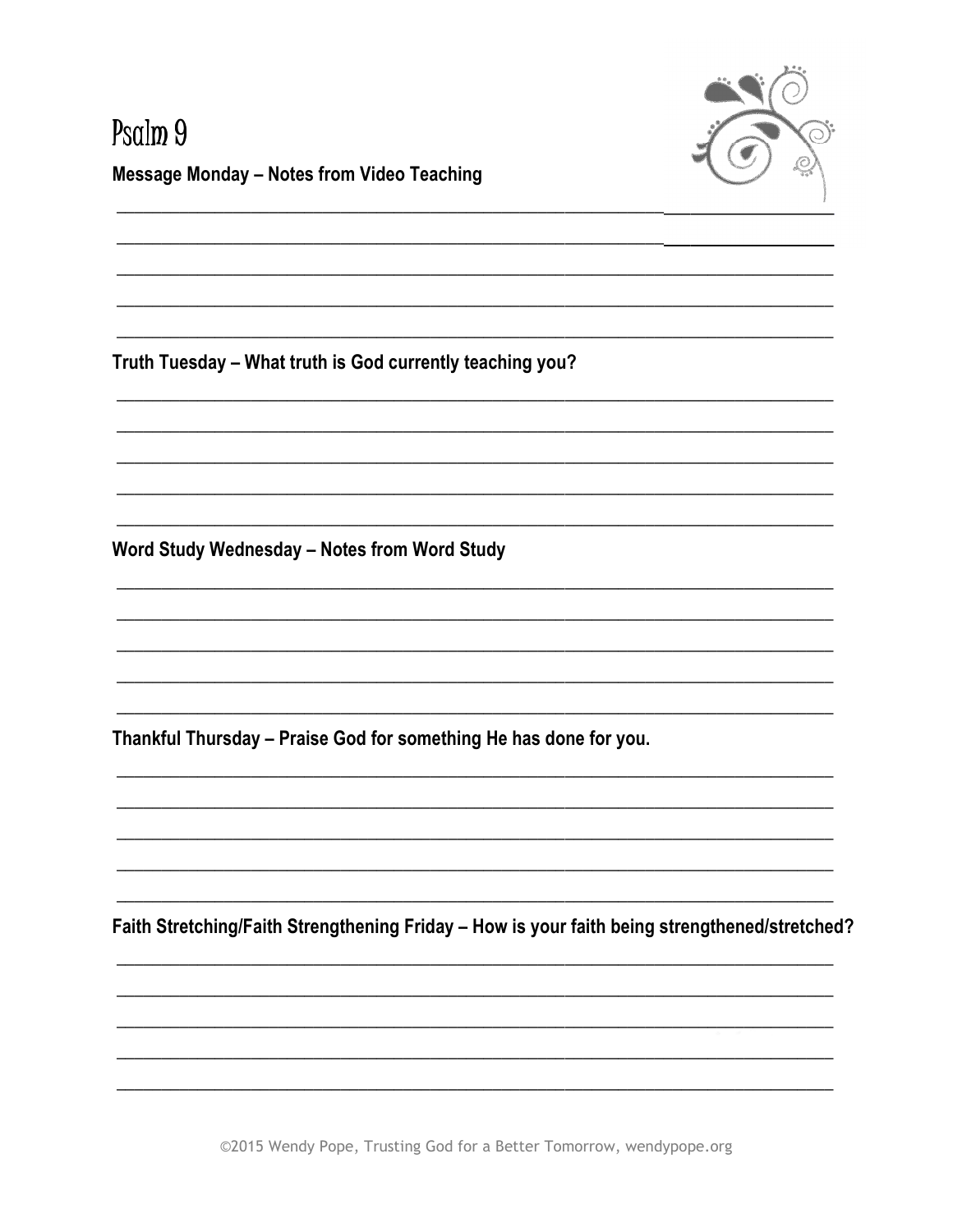



Truth Tuesday - What truth is God currently teaching you?

Word Study Wednesday - Notes from Word Study

Thankful Thursday - Praise God for something He has done for you.

Faith Stretching/Faith Strengthening Friday - How is your faith being strengthened/stretched?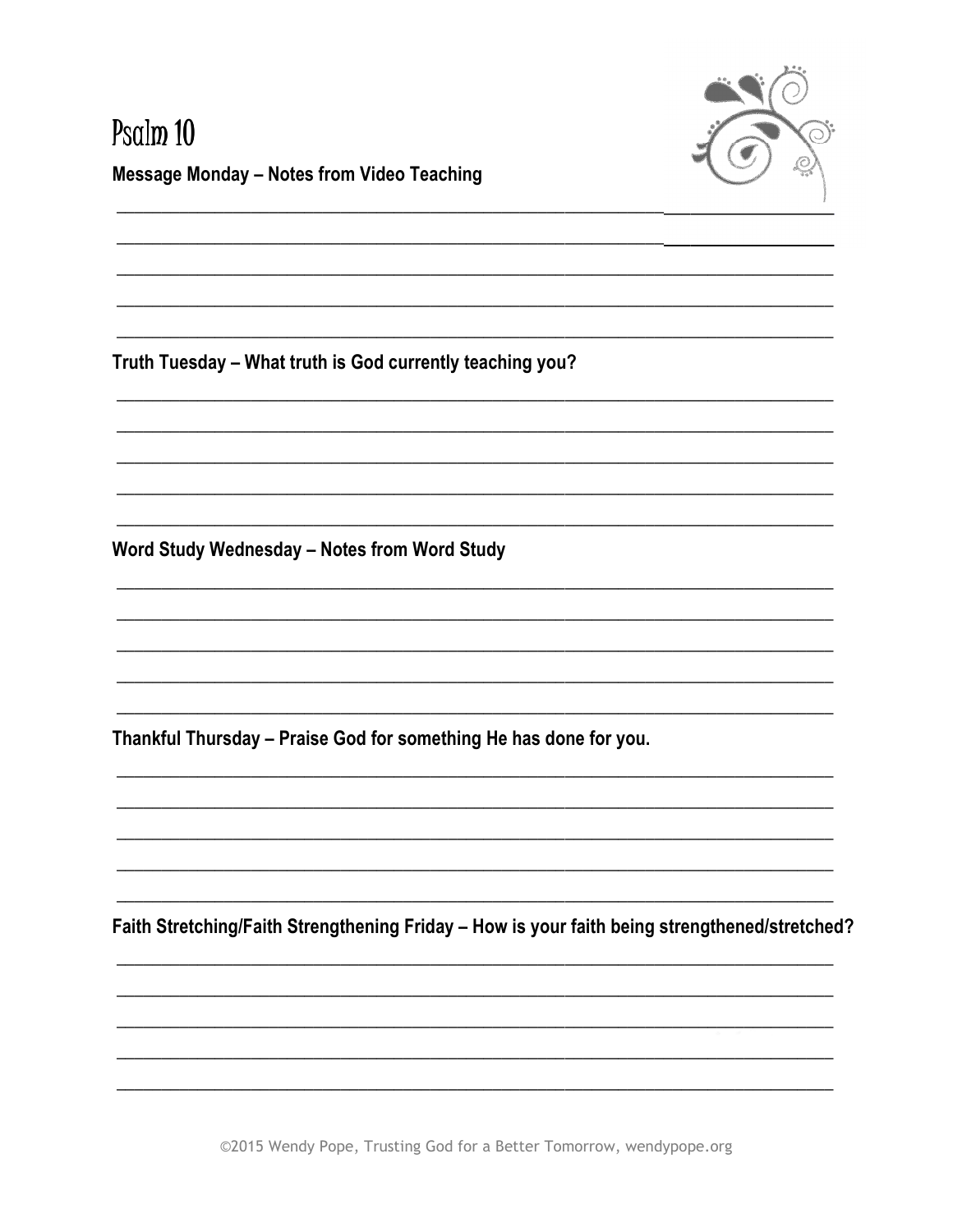

# Psalm 10 **Message Monday - Notes from Video Teaching**

Truth Tuesday - What truth is God currently teaching you?

Word Study Wednesday - Notes from Word Study

Thankful Thursday - Praise God for something He has done for you.

Faith Stretching/Faith Strengthening Friday - How is your faith being strengthened/stretched?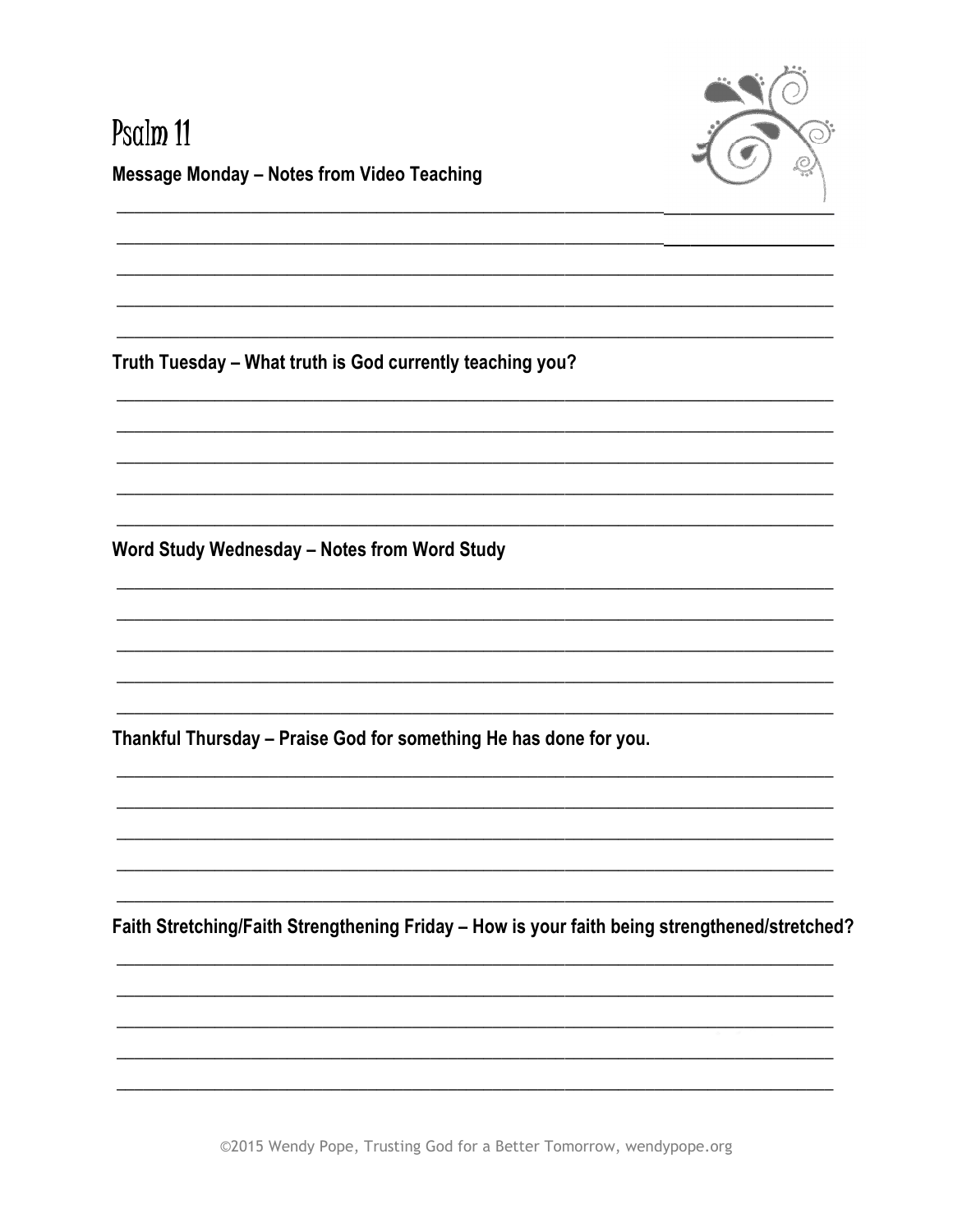

#### Psalm 11 **Message Monday - Notes from Video Teaching**

Truth Tuesday - What truth is God currently teaching you?

Word Study Wednesday - Notes from Word Study

Thankful Thursday - Praise God for something He has done for you.

Faith Stretching/Faith Strengthening Friday - How is your faith being strengthened/stretched?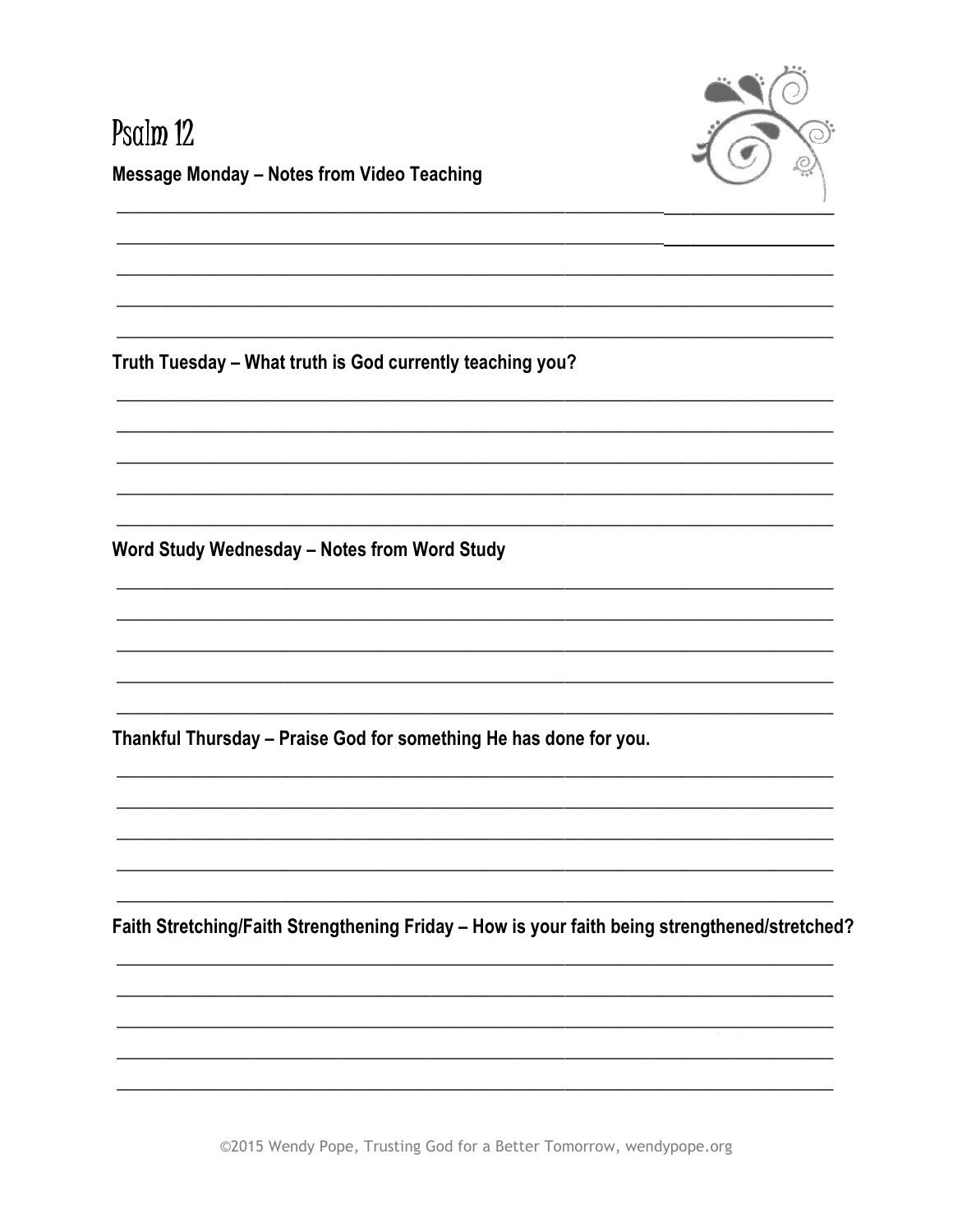

# Psalm 12 **Message Monday - Notes from Video Teaching**

Truth Tuesday - What truth is God currently teaching you?

Word Study Wednesday - Notes from Word Study

Thankful Thursday - Praise God for something He has done for you.

Faith Stretching/Faith Strengthening Friday - How is your faith being strengthened/stretched?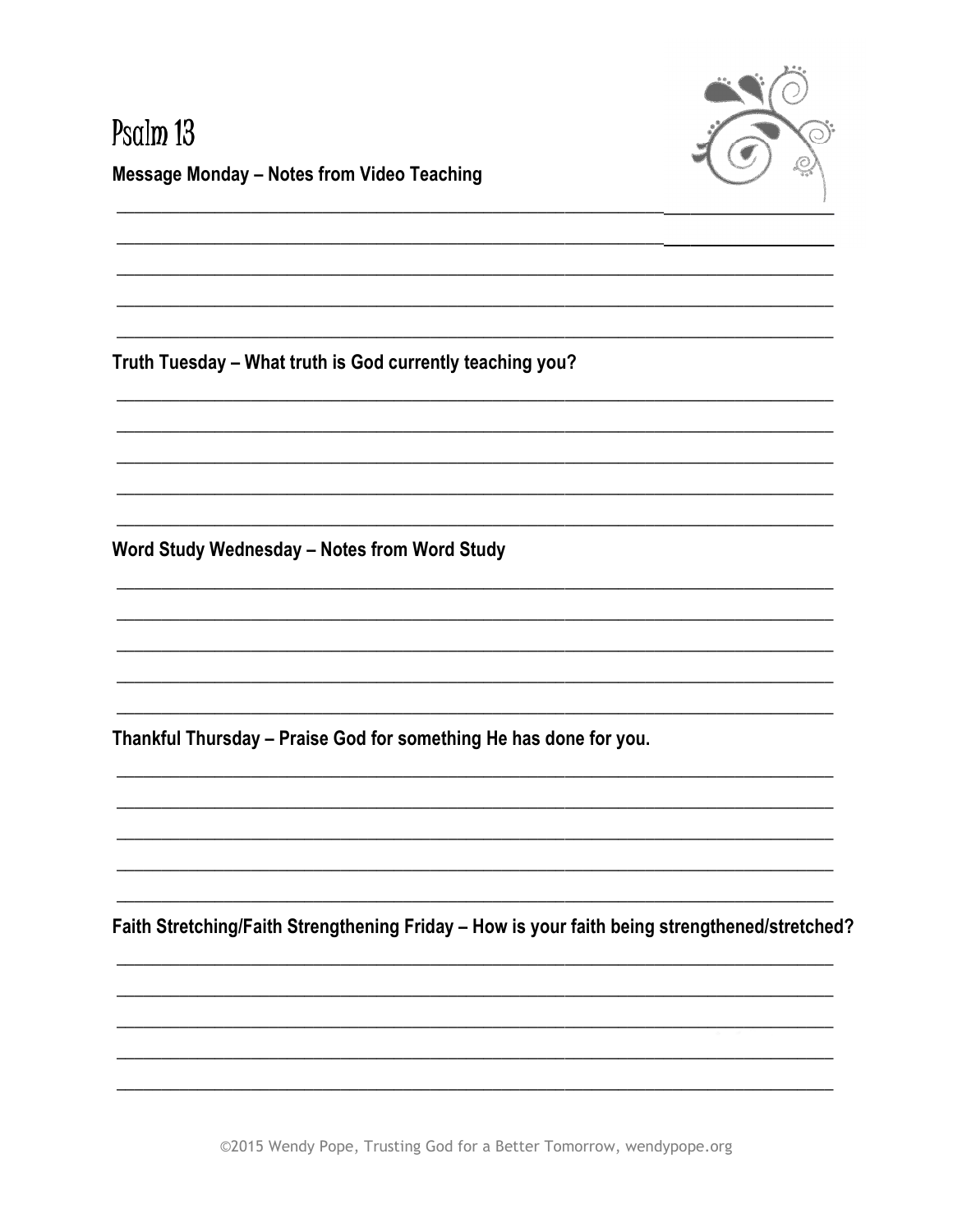

#### Psalm 13 **Message Monday - Notes from Video Teaching**

Truth Tuesday - What truth is God currently teaching you?

Word Study Wednesday - Notes from Word Study

Thankful Thursday - Praise God for something He has done for you.

Faith Stretching/Faith Strengthening Friday - How is your faith being strengthened/stretched?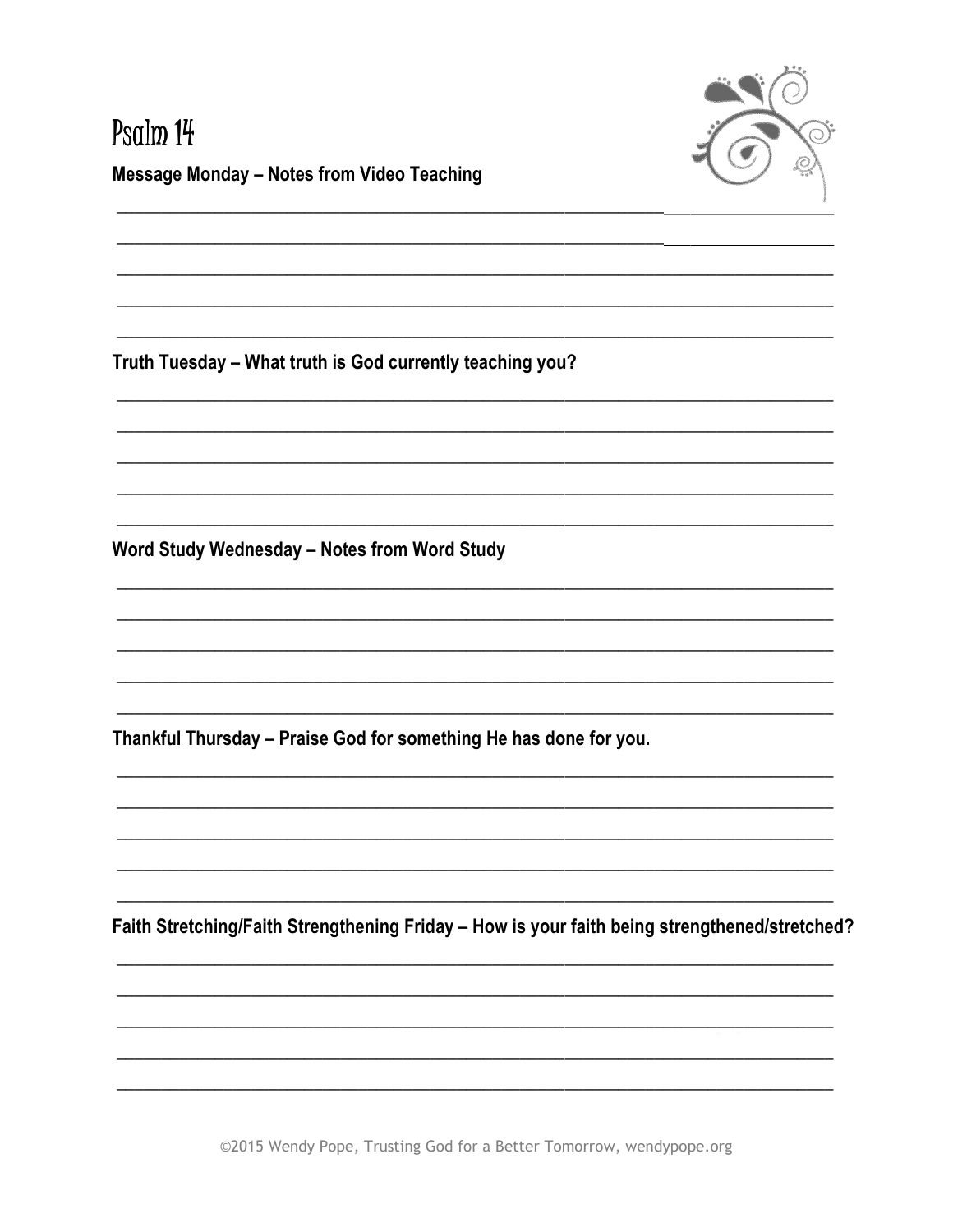

# Psalm 14 **Message Monday - Notes from Video Teaching**

Truth Tuesday - What truth is God currently teaching you?

Word Study Wednesday - Notes from Word Study

Thankful Thursday - Praise God for something He has done for you.

Faith Stretching/Faith Strengthening Friday - How is your faith being strengthened/stretched?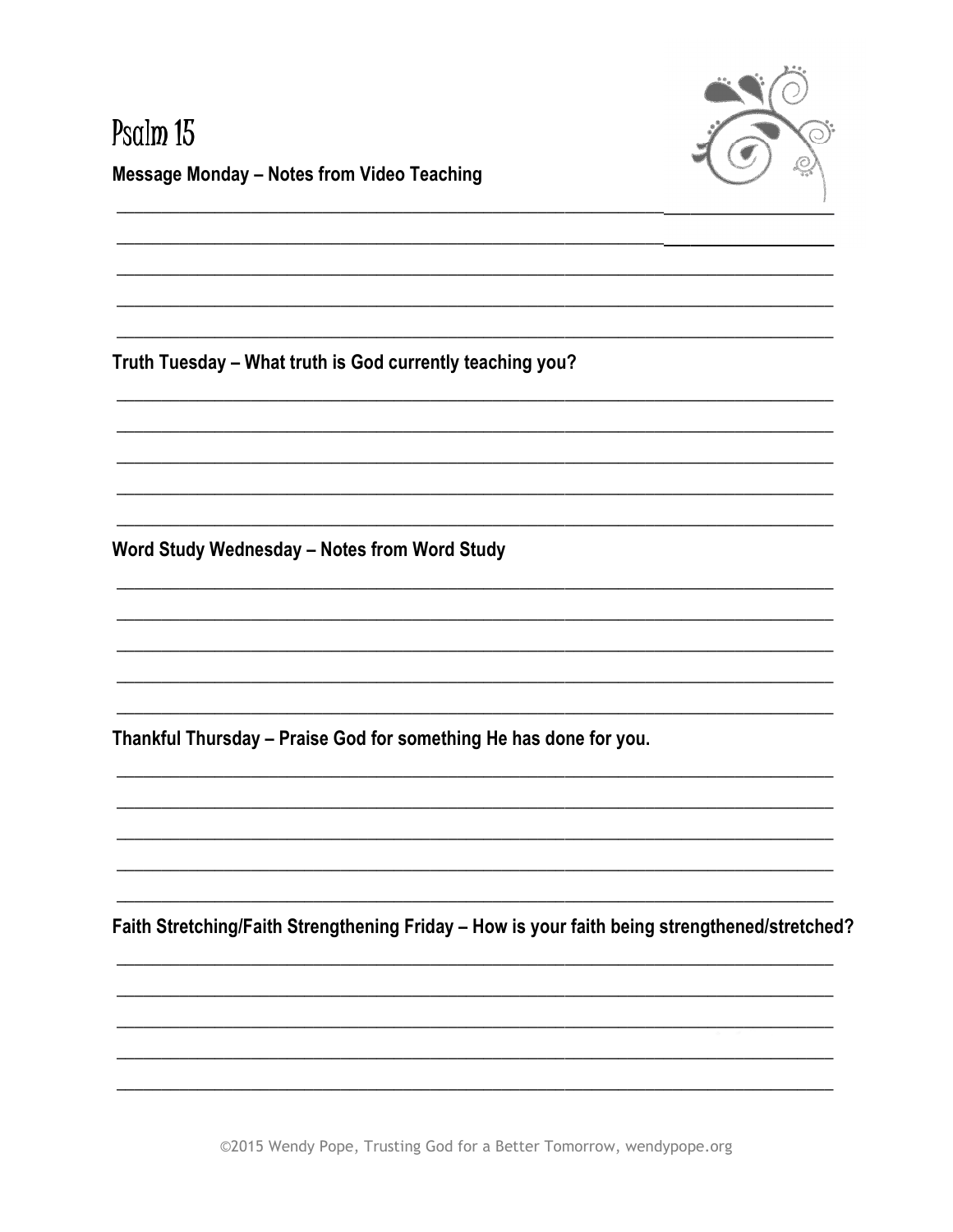

#### Psalm 15 **Message Monday - Notes from Video Teaching**

Truth Tuesday - What truth is God currently teaching you?

Word Study Wednesday - Notes from Word Study

Thankful Thursday - Praise God for something He has done for you.

Faith Stretching/Faith Strengthening Friday - How is your faith being strengthened/stretched?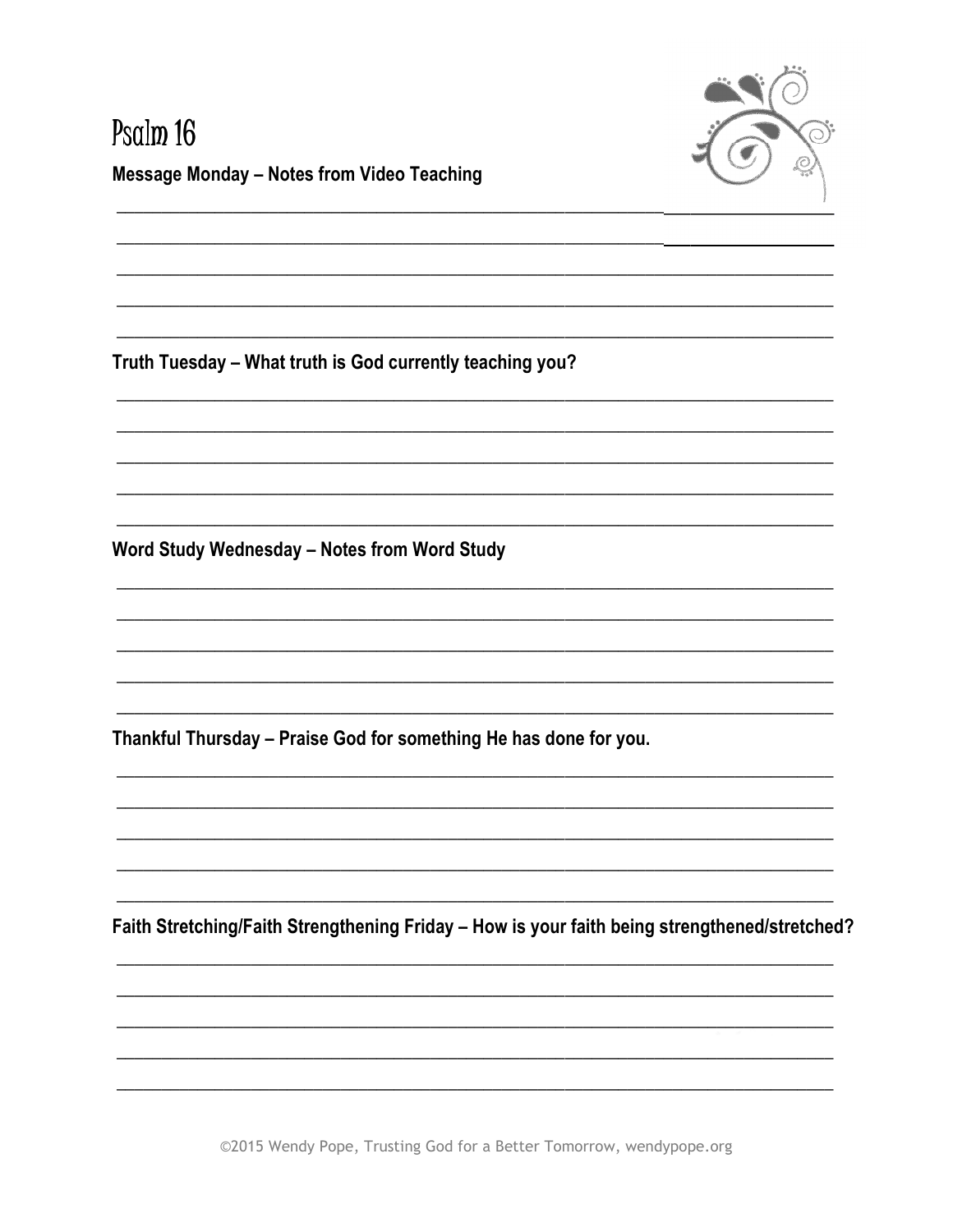

#### Psalm 16 **Message Monday - Notes from Video Teaching**

Truth Tuesday - What truth is God currently teaching you?

Word Study Wednesday - Notes from Word Study

Thankful Thursday - Praise God for something He has done for you.

Faith Stretching/Faith Strengthening Friday - How is your faith being strengthened/stretched?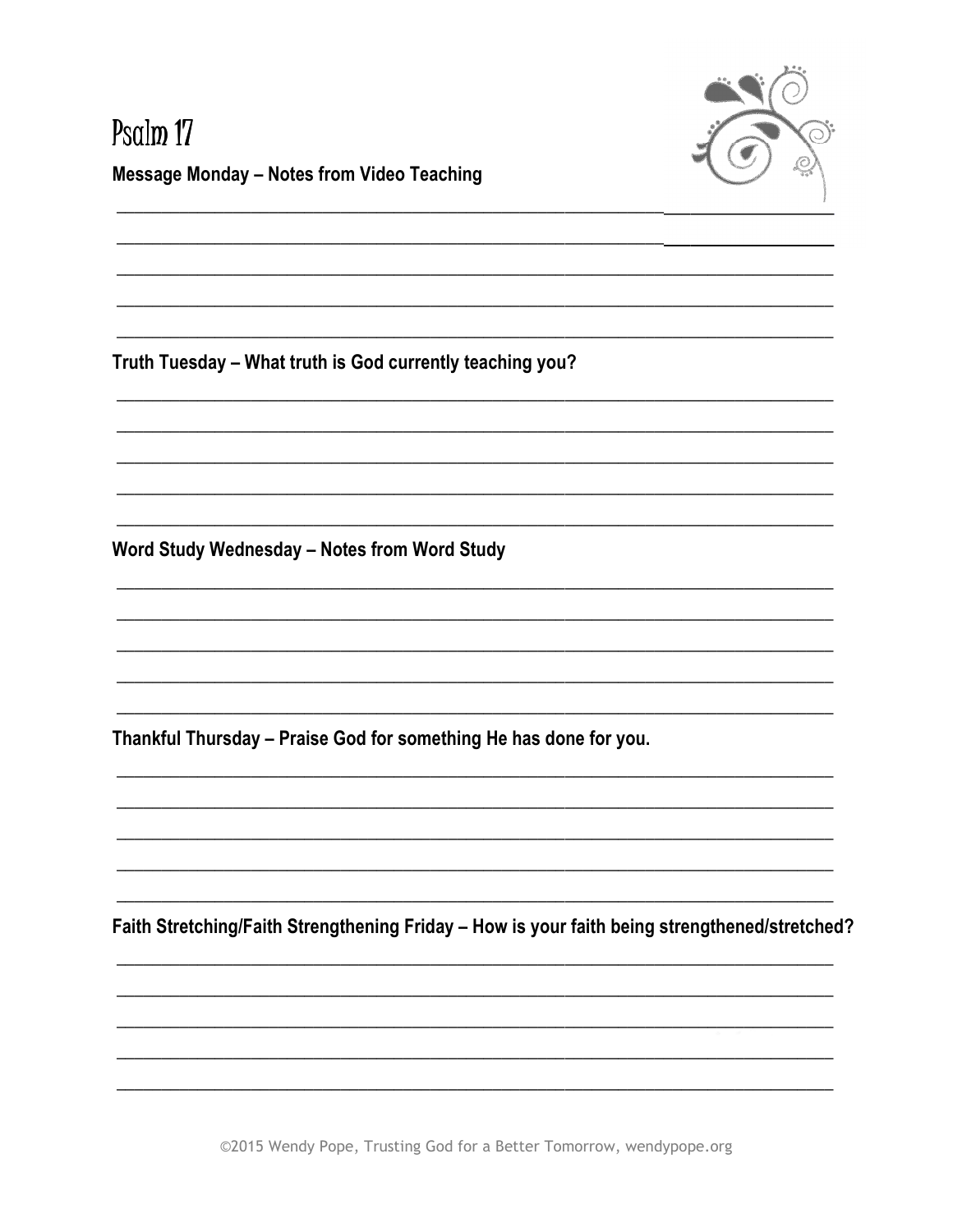

# Psalm 17 **Message Monday - Notes from Video Teaching**

Truth Tuesday - What truth is God currently teaching you?

Word Study Wednesday - Notes from Word Study

Thankful Thursday - Praise God for something He has done for you.

Faith Stretching/Faith Strengthening Friday - How is your faith being strengthened/stretched?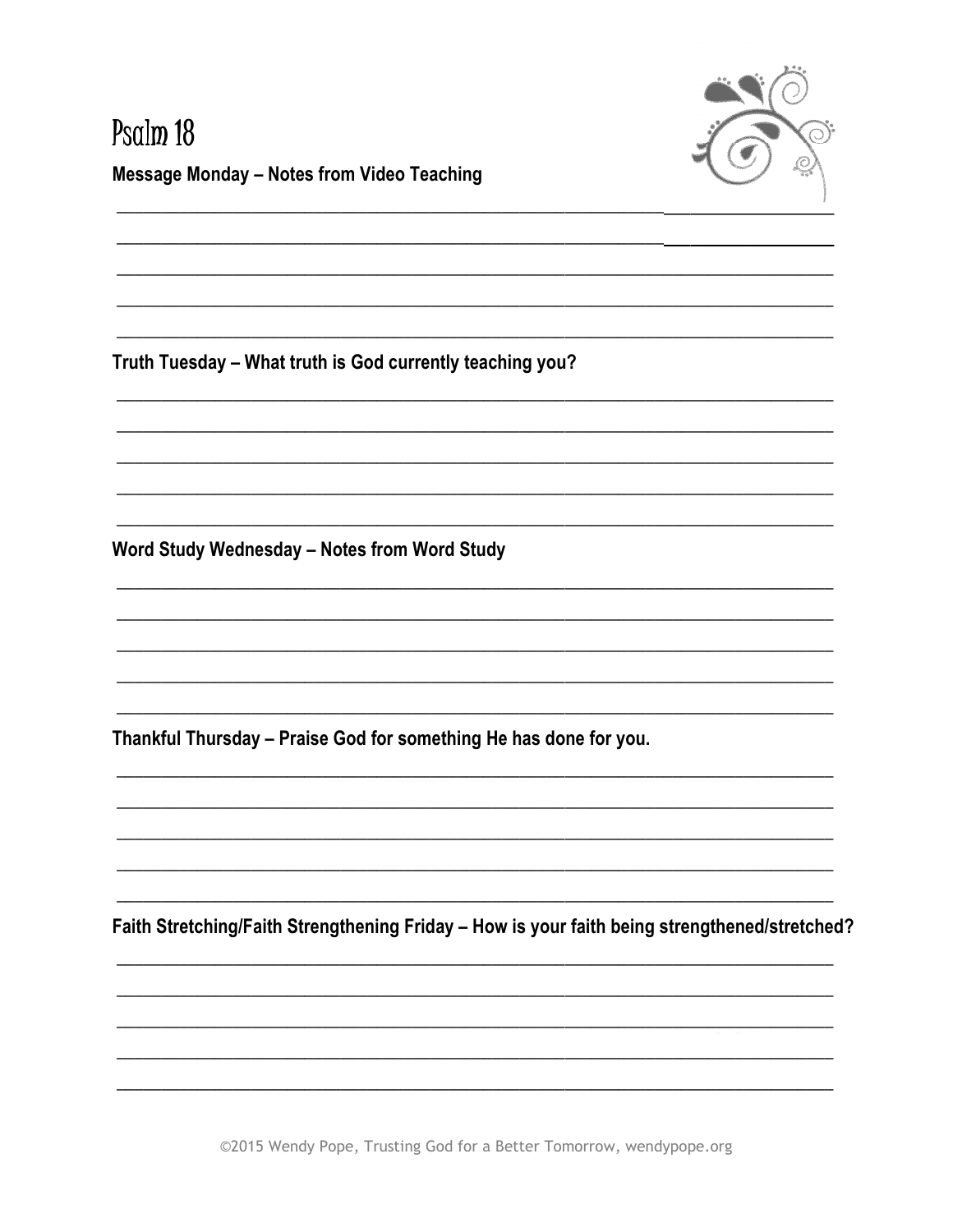

#### Psalm 18 **Message Monday - Notes from Video Teaching**

Truth Tuesday - What truth is God currently teaching you?

Word Study Wednesday - Notes from Word Study

Thankful Thursday - Praise God for something He has done for you.

Faith Stretching/Faith Strengthening Friday - How is your faith being strengthened/stretched?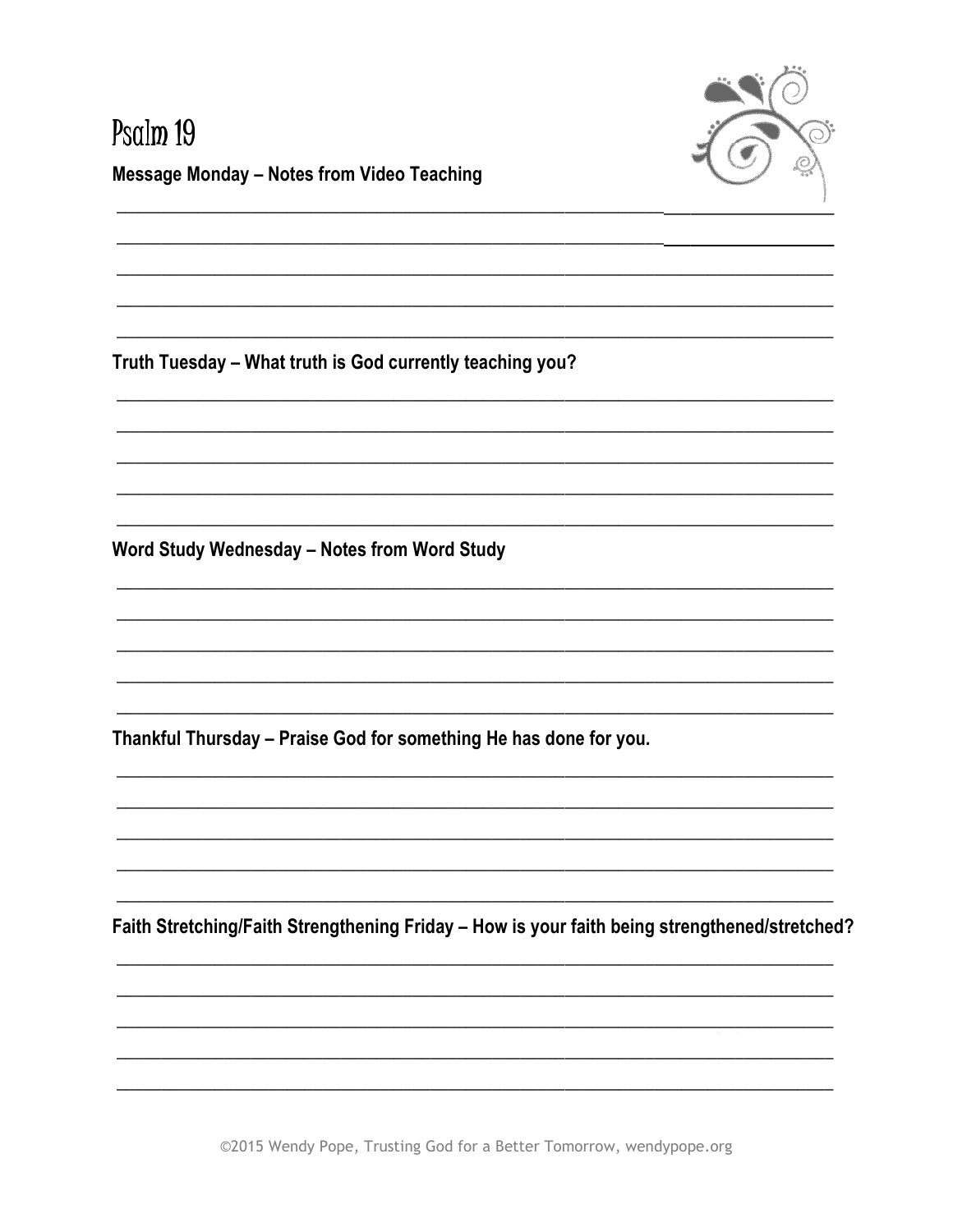

#### Psalm 19 **Message Monday - Notes from Video Teaching**

Truth Tuesday - What truth is God currently teaching you?

Word Study Wednesday - Notes from Word Study

Thankful Thursday - Praise God for something He has done for you.

Faith Stretching/Faith Strengthening Friday - How is your faith being strengthened/stretched?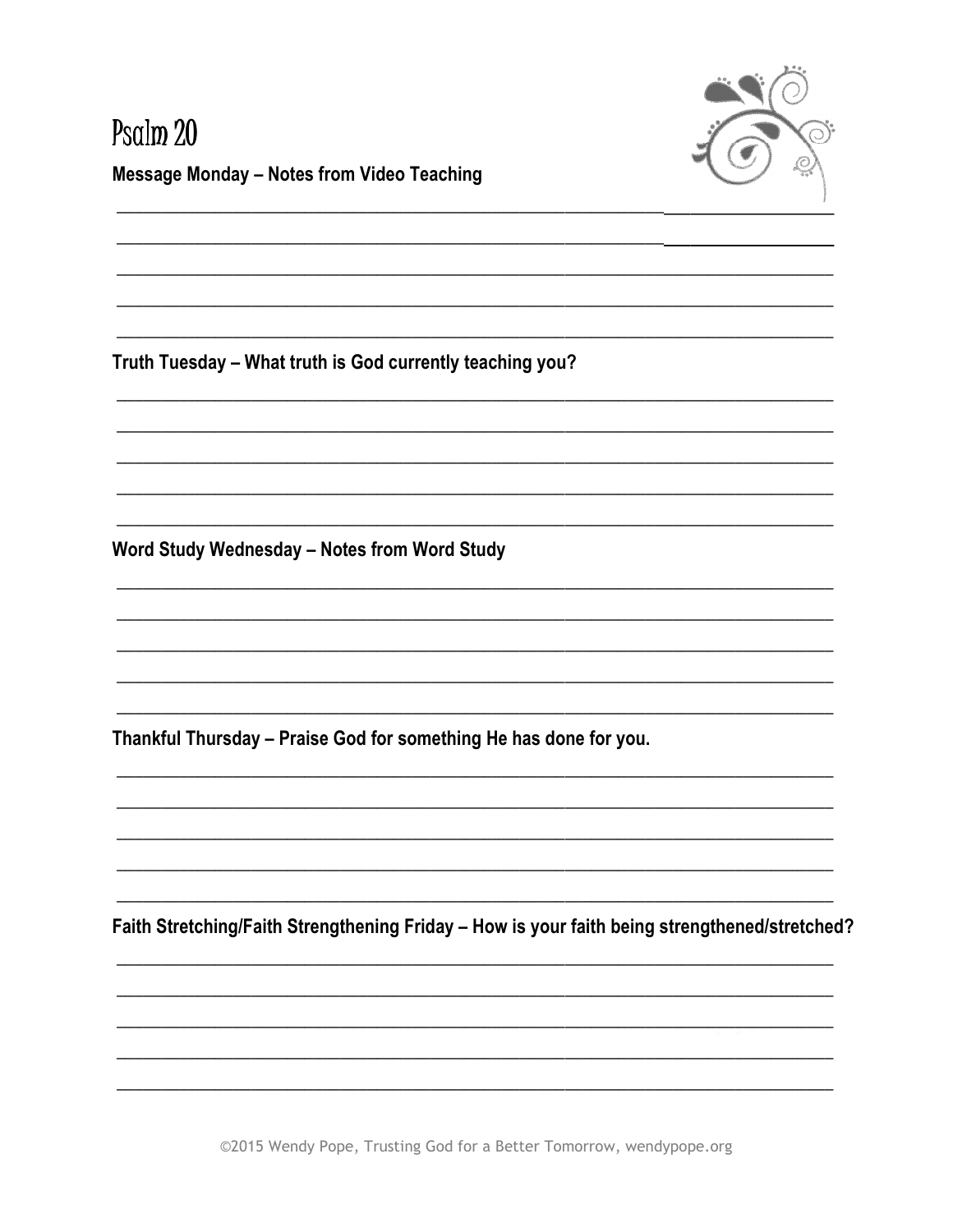

# Psalm 20 **Message Monday - Notes from Video Teaching**

Truth Tuesday - What truth is God currently teaching you?

Word Study Wednesday - Notes from Word Study

Thankful Thursday - Praise God for something He has done for you.

Faith Stretching/Faith Strengthening Friday - How is your faith being strengthened/stretched?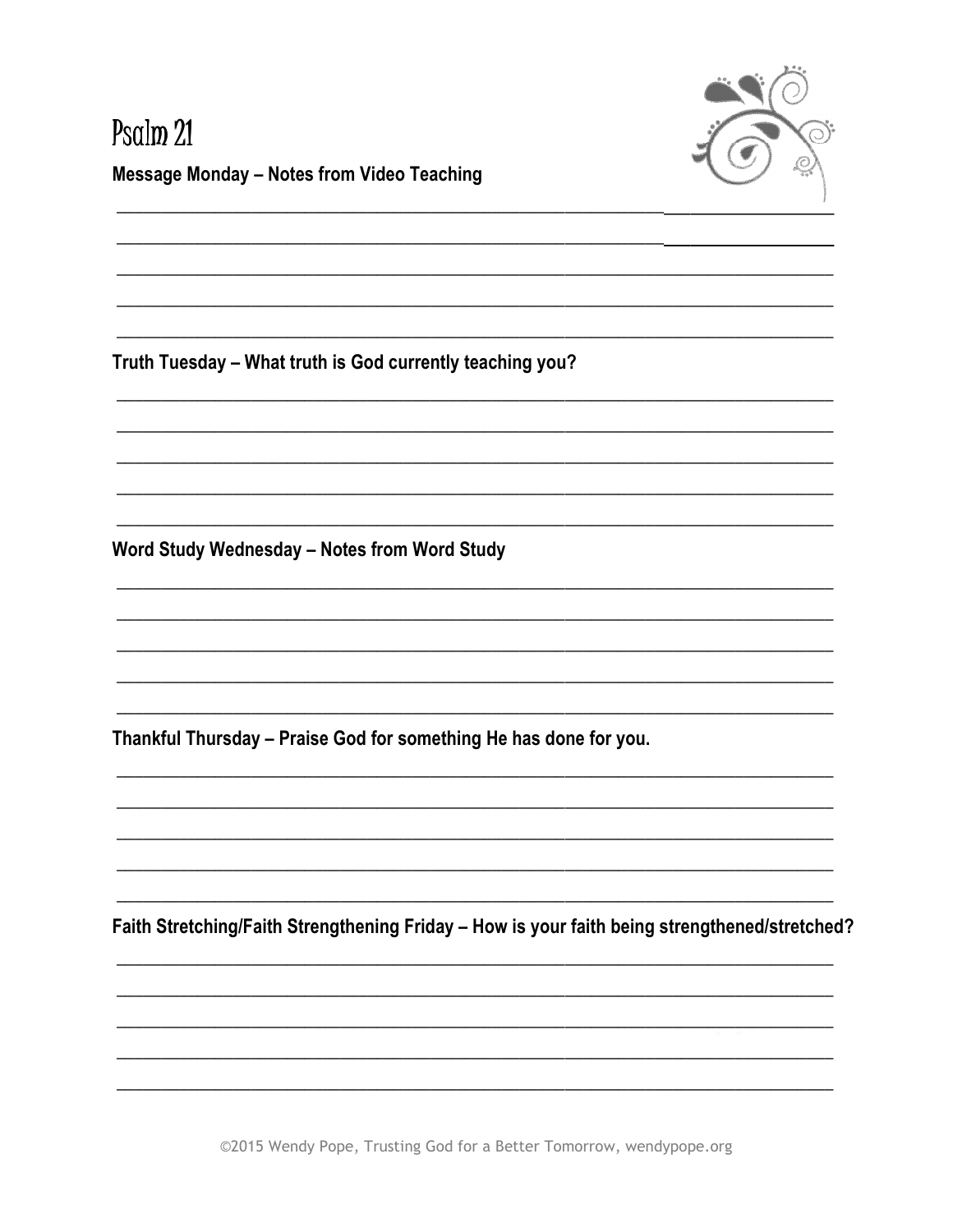

# Psalm 21 **Message Monday - Notes from Video Teaching**

Truth Tuesday - What truth is God currently teaching you?

Word Study Wednesday - Notes from Word Study

Thankful Thursday - Praise God for something He has done for you.

Faith Stretching/Faith Strengthening Friday - How is your faith being strengthened/stretched?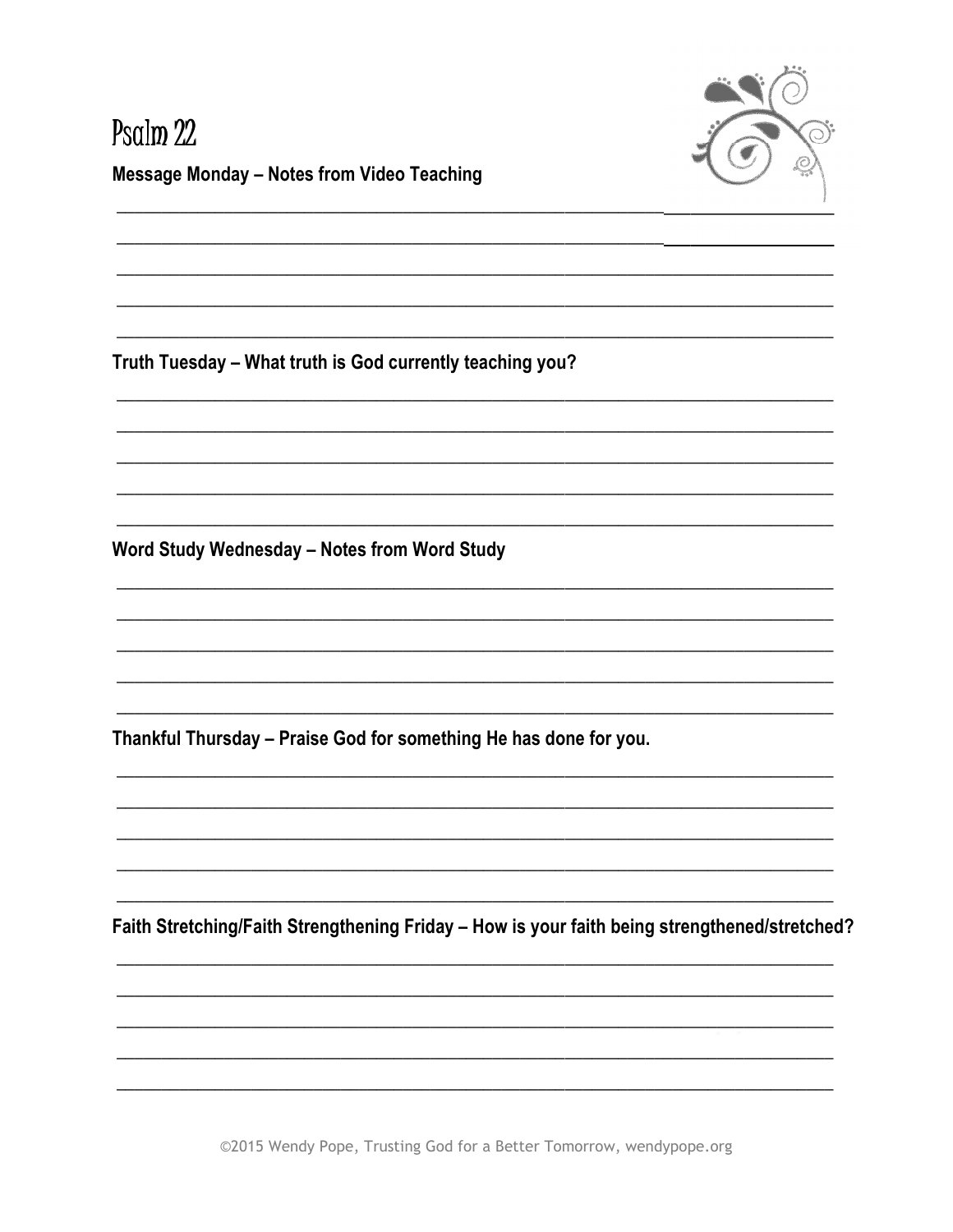

# Psalm 22 **Message Monday - Notes from Video Teaching**

Truth Tuesday - What truth is God currently teaching you?

Word Study Wednesday - Notes from Word Study

Thankful Thursday - Praise God for something He has done for you.

Faith Stretching/Faith Strengthening Friday - How is your faith being strengthened/stretched?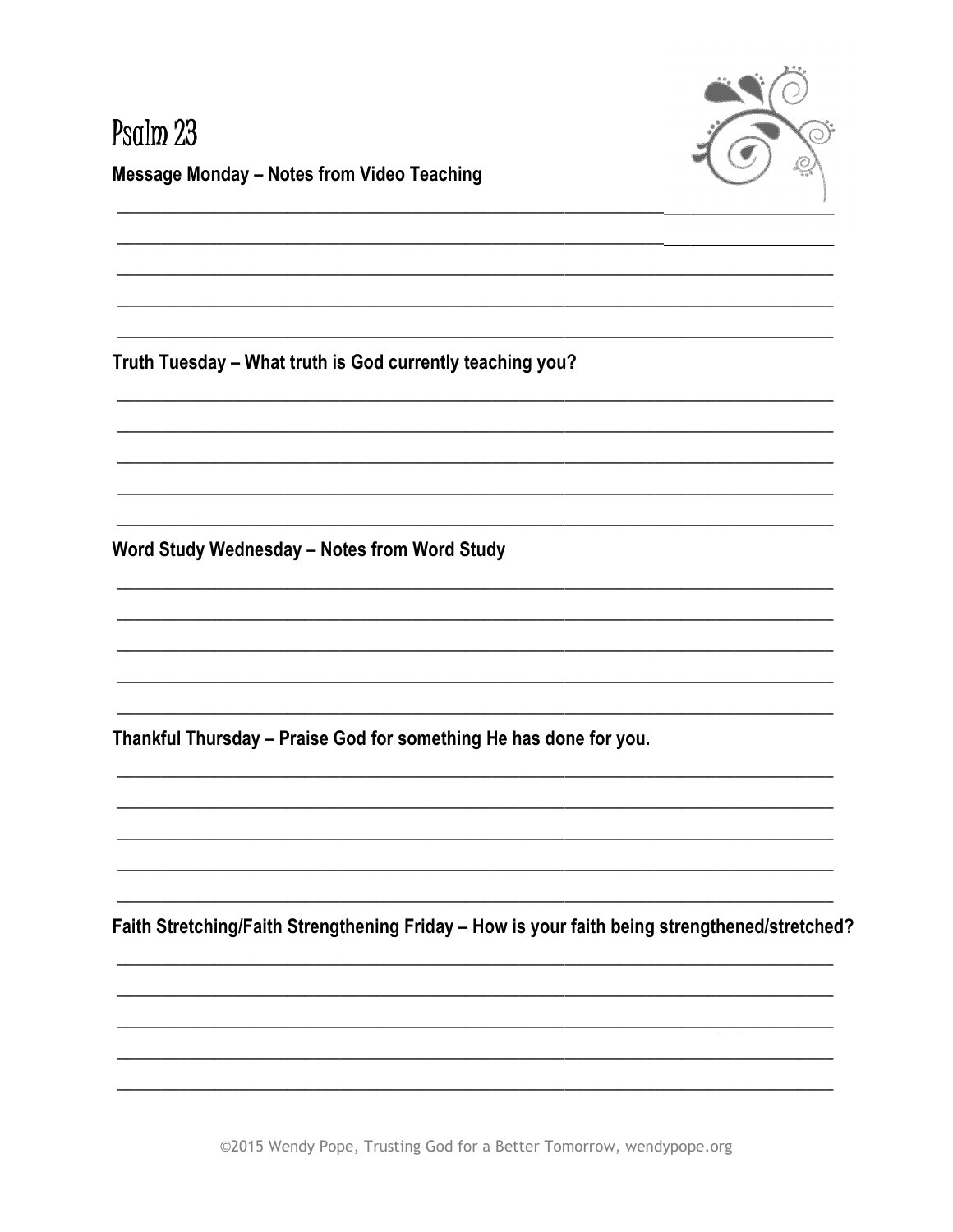

# Psalm 23 **Message Monday - Notes from Video Teaching**

Truth Tuesday - What truth is God currently teaching you?

Word Study Wednesday - Notes from Word Study

Thankful Thursday - Praise God for something He has done for you.

Faith Stretching/Faith Strengthening Friday - How is your faith being strengthened/stretched?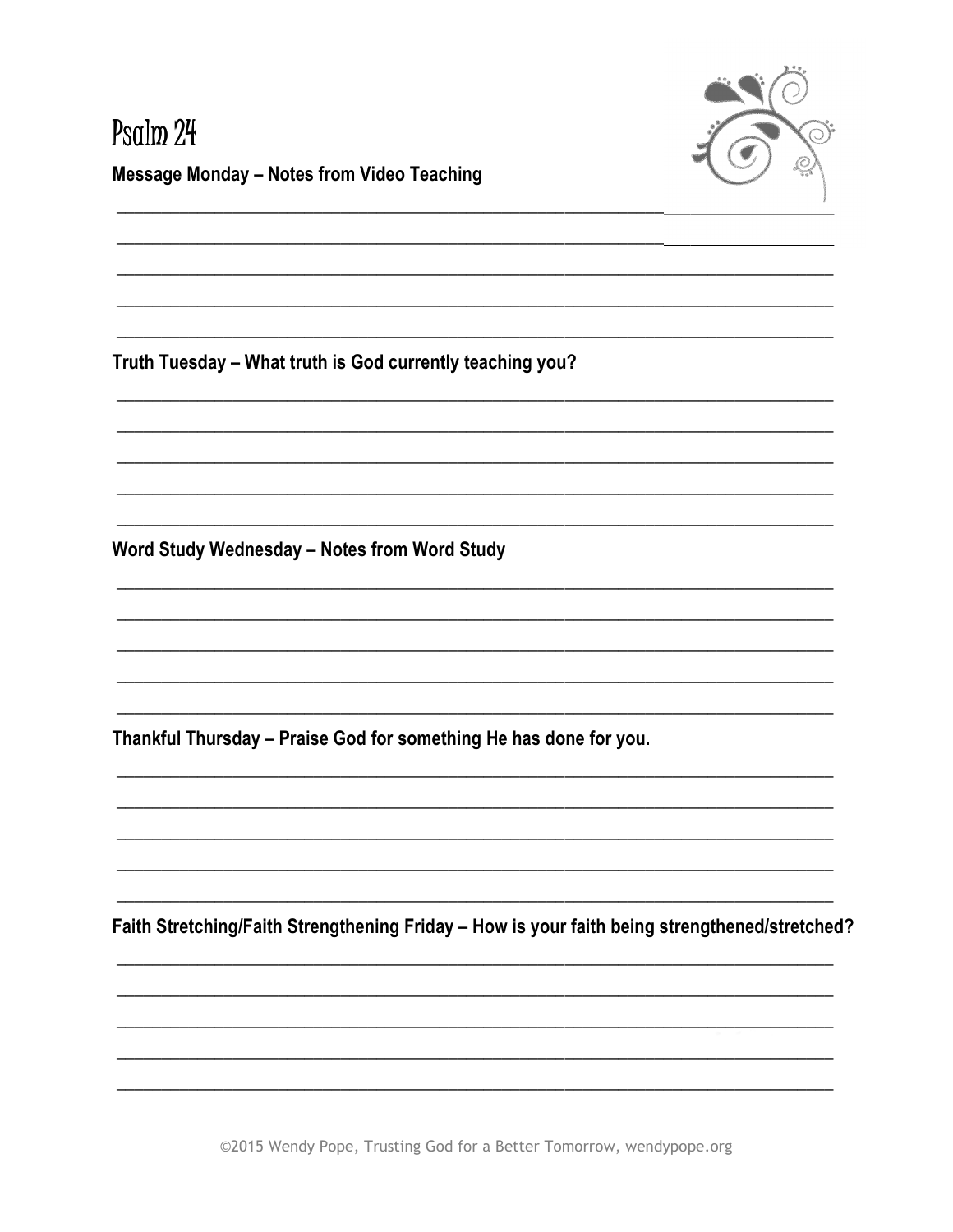

# Psalm 24 **Message Monday - Notes from Video Teaching**

Truth Tuesday - What truth is God currently teaching you?

Word Study Wednesday - Notes from Word Study

Thankful Thursday - Praise God for something He has done for you.

Faith Stretching/Faith Strengthening Friday - How is your faith being strengthened/stretched?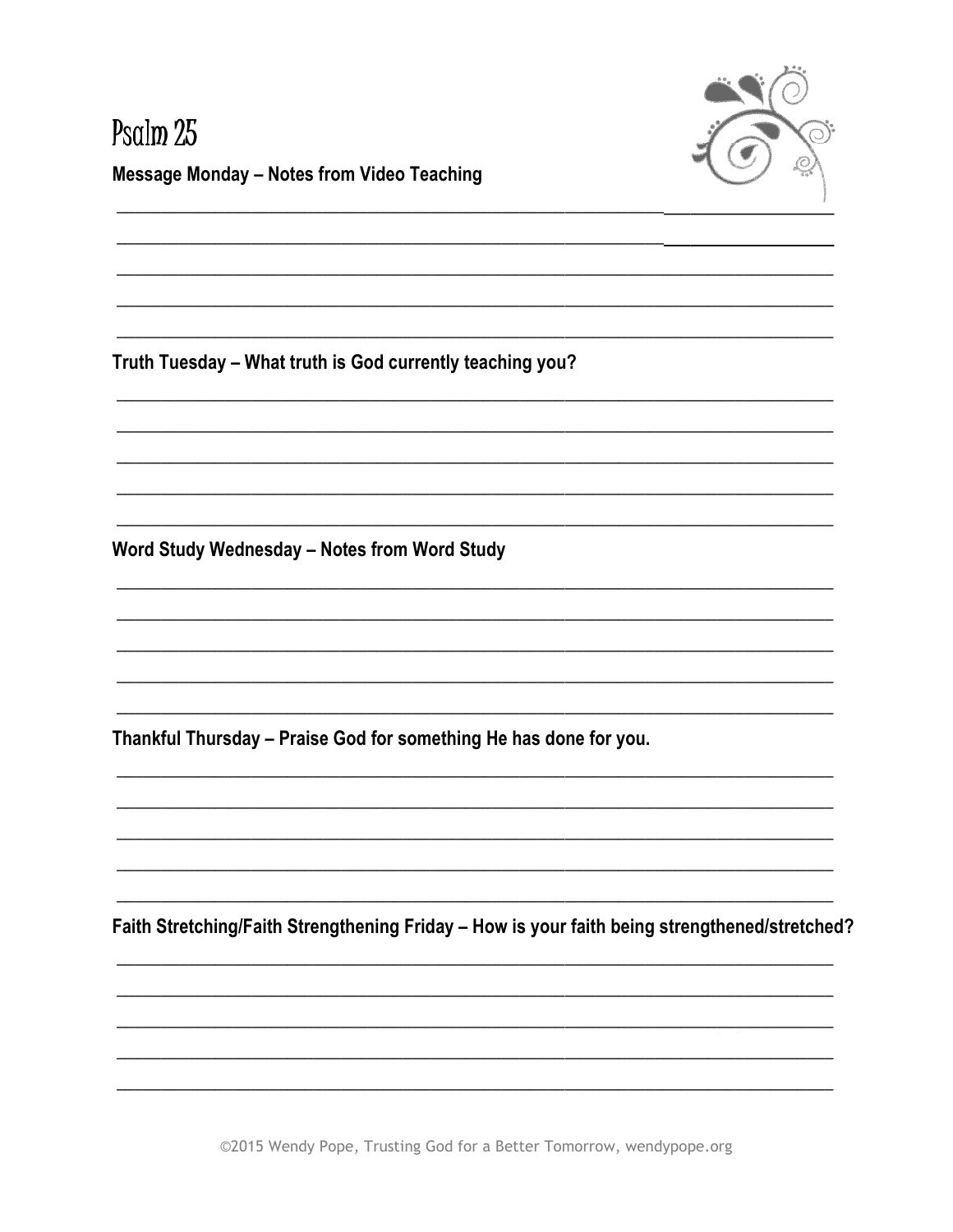

# Psalm 25 **Message Monday - Notes from Video Teaching**

Truth Tuesday - What truth is God currently teaching you?

Word Study Wednesday - Notes from Word Study

Thankful Thursday - Praise God for something He has done for you.

Faith Stretching/Faith Strengthening Friday - How is your faith being strengthened/stretched?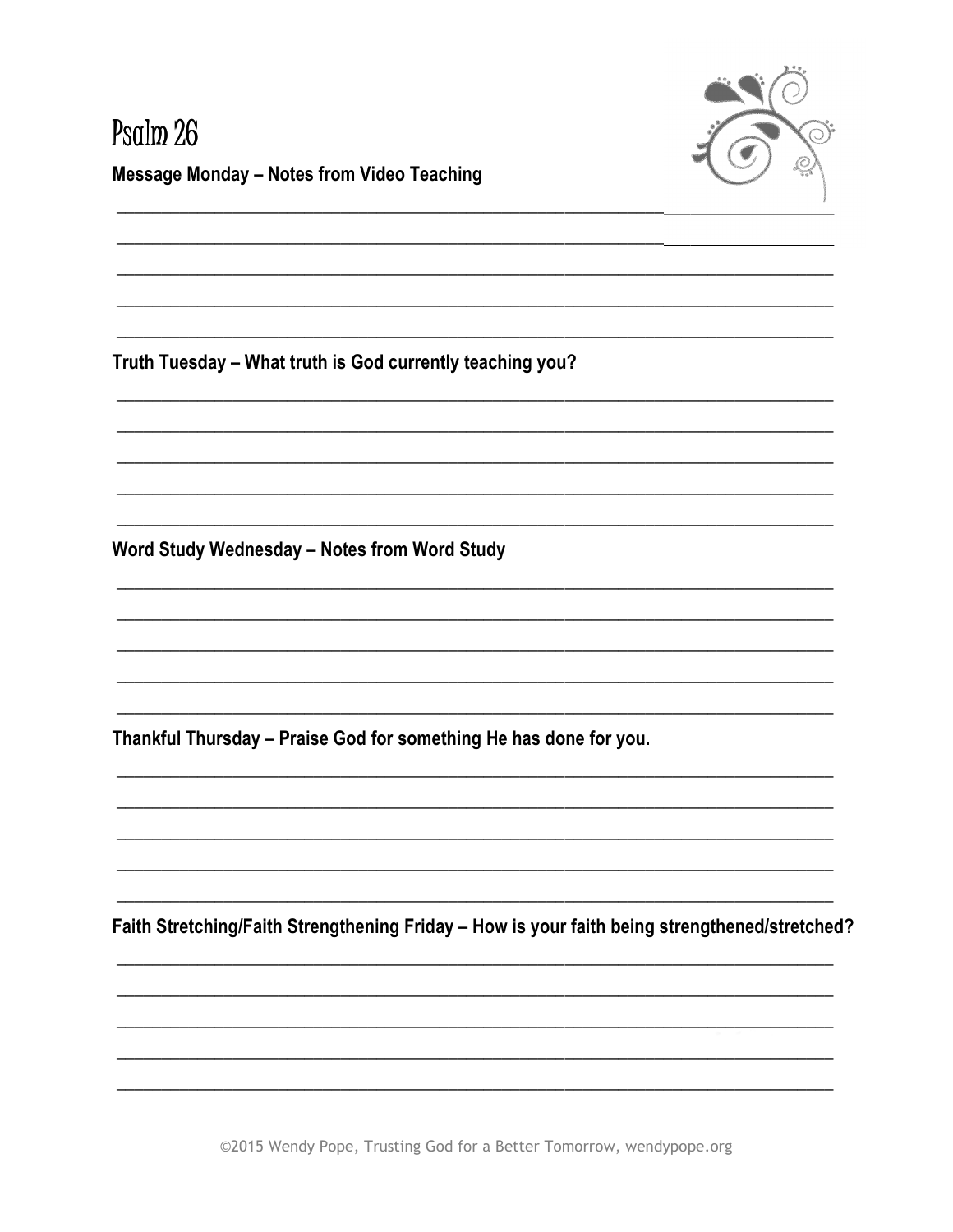

# Psalm 26 **Message Monday - Notes from Video Teaching**

Truth Tuesday - What truth is God currently teaching you?

Word Study Wednesday - Notes from Word Study

Thankful Thursday - Praise God for something He has done for you.

Faith Stretching/Faith Strengthening Friday - How is your faith being strengthened/stretched?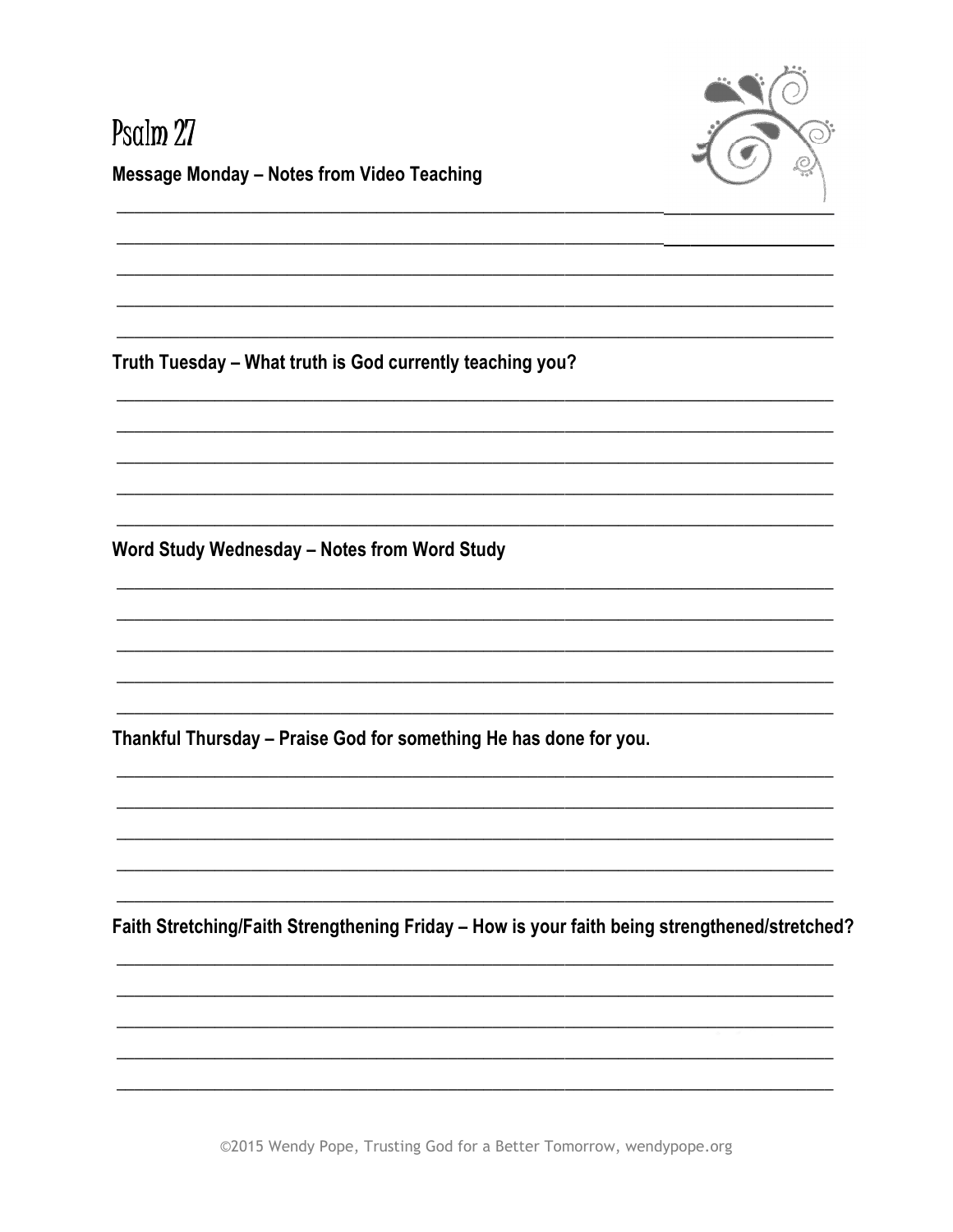

# Psalm 27 **Message Monday - Notes from Video Teaching**

Truth Tuesday - What truth is God currently teaching you?

Word Study Wednesday - Notes from Word Study

Thankful Thursday - Praise God for something He has done for you.

Faith Stretching/Faith Strengthening Friday - How is your faith being strengthened/stretched?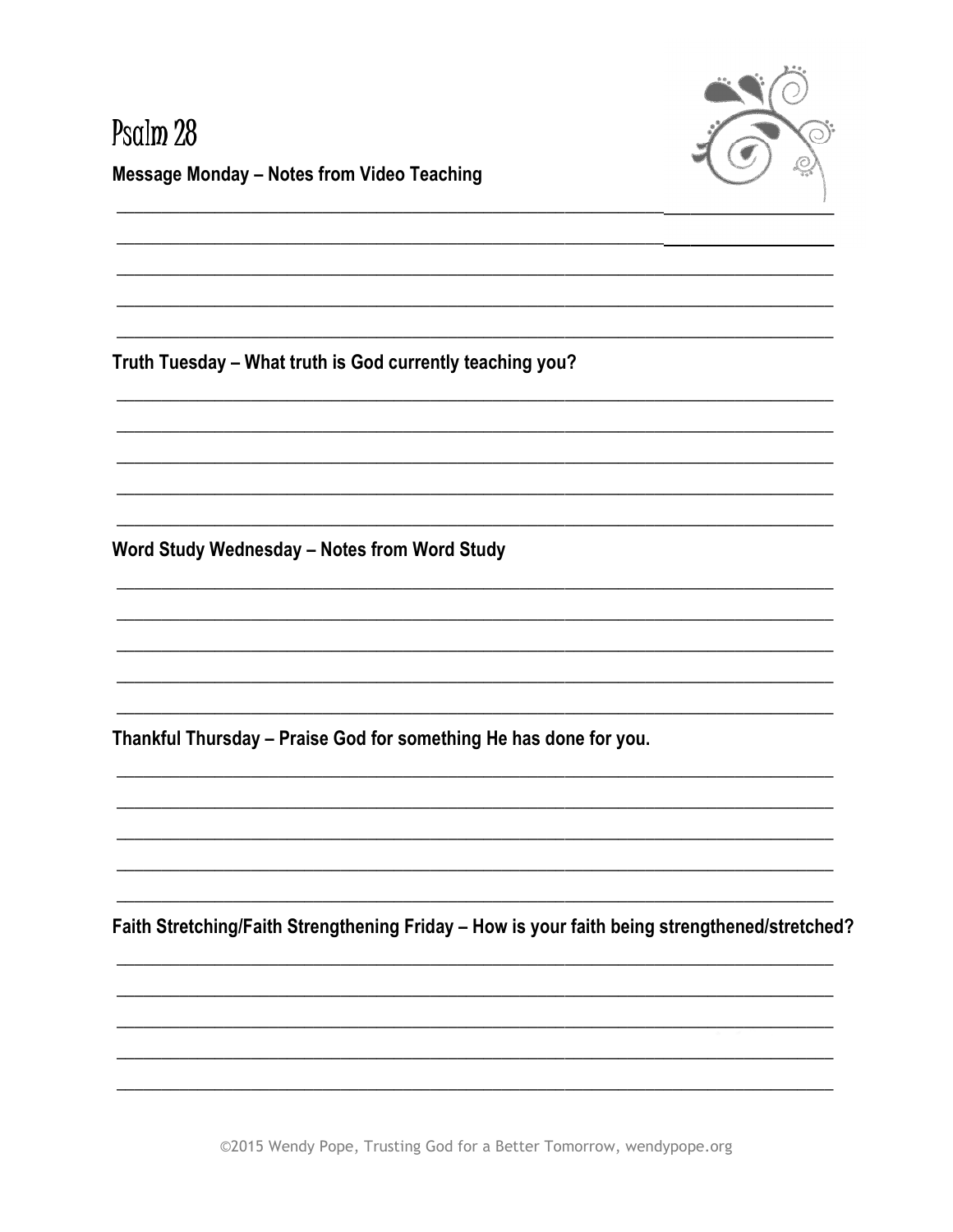

# Psalm 28 **Message Monday - Notes from Video Teaching**

Truth Tuesday - What truth is God currently teaching you?

Word Study Wednesday - Notes from Word Study

Thankful Thursday - Praise God for something He has done for you.

Faith Stretching/Faith Strengthening Friday - How is your faith being strengthened/stretched?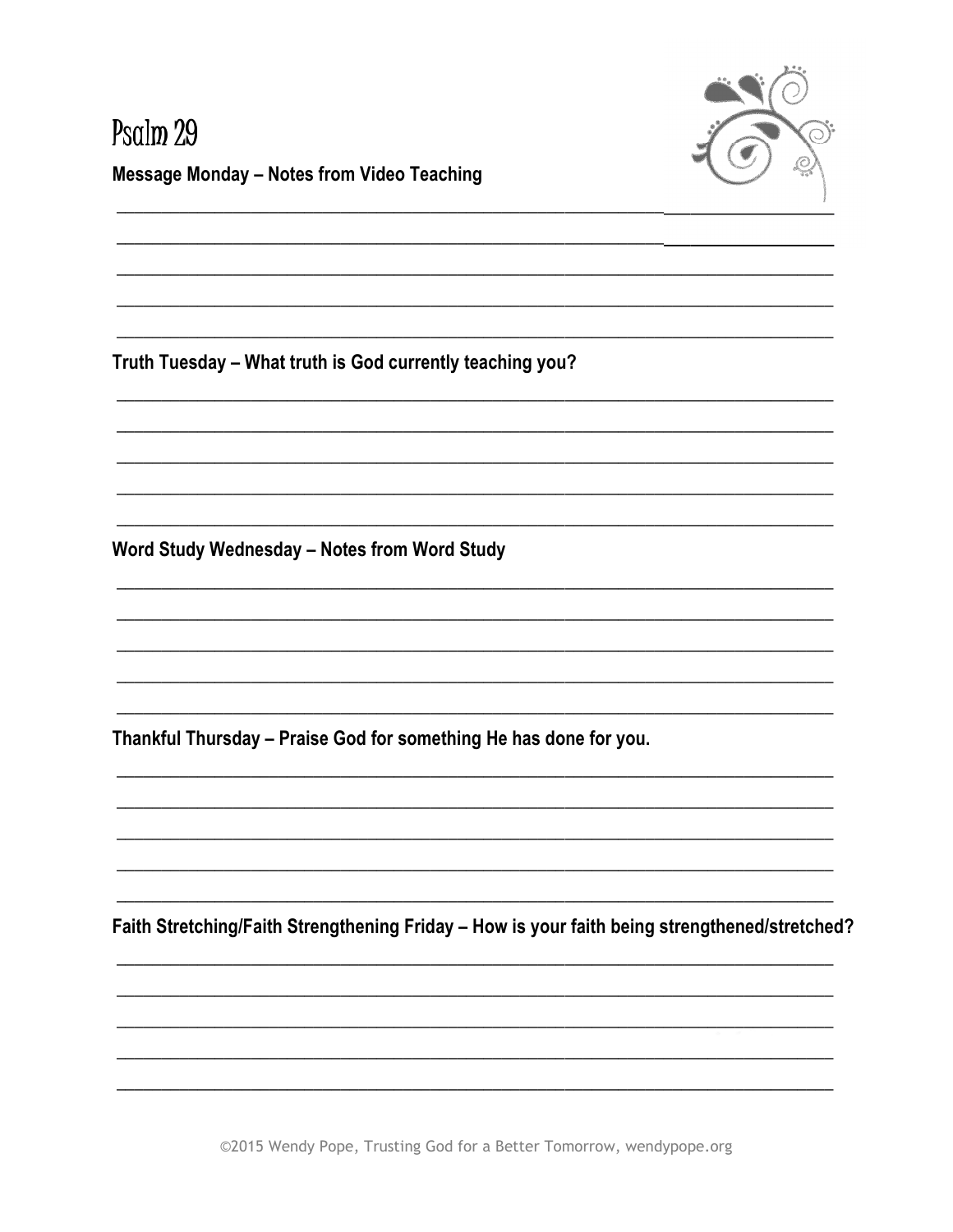

# Psalm 29 **Message Monday - Notes from Video Teaching**

Truth Tuesday - What truth is God currently teaching you?

Word Study Wednesday - Notes from Word Study

Thankful Thursday - Praise God for something He has done for you.

Faith Stretching/Faith Strengthening Friday - How is your faith being strengthened/stretched?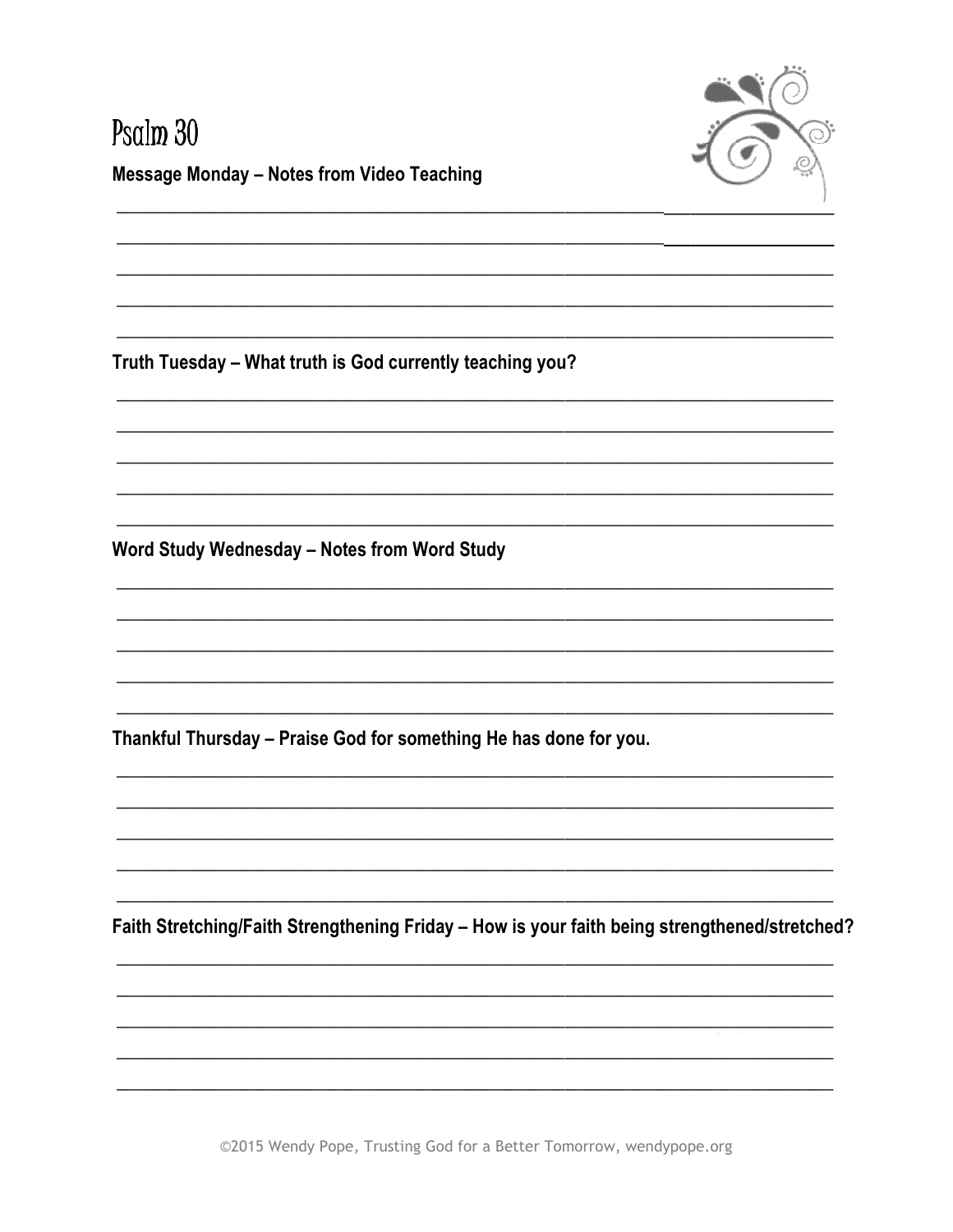

# Psalm 30 **Message Monday - Notes from Video Teaching**

Truth Tuesday - What truth is God currently teaching you?

Word Study Wednesday - Notes from Word Study

Thankful Thursday - Praise God for something He has done for you.

Faith Stretching/Faith Strengthening Friday - How is your faith being strengthened/stretched?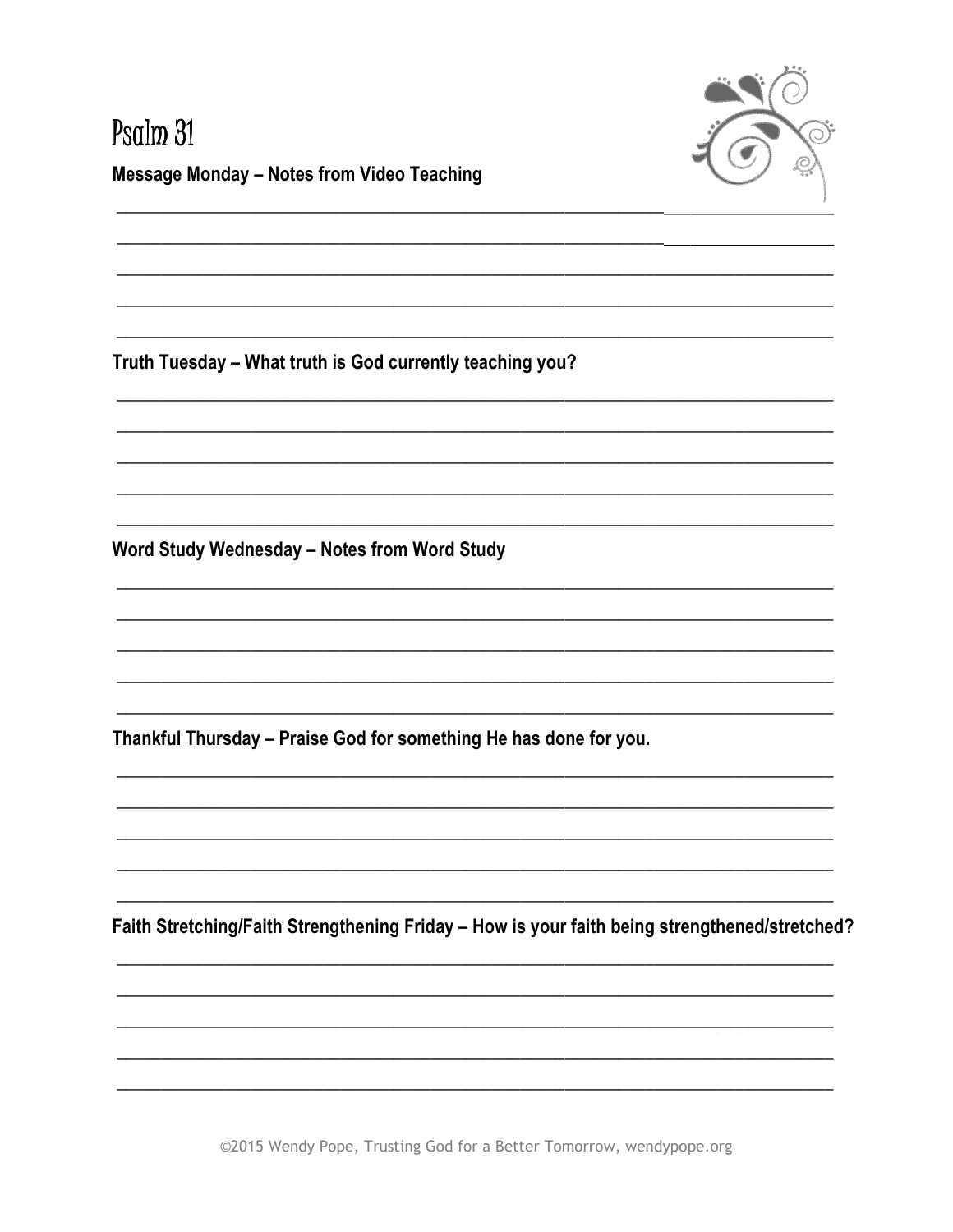

# Psalm<sub>31</sub> **Message Monday - Notes from Video Teaching**

Truth Tuesday - What truth is God currently teaching you?

Word Study Wednesday - Notes from Word Study

Thankful Thursday - Praise God for something He has done for you.

Faith Stretching/Faith Strengthening Friday - How is your faith being strengthened/stretched?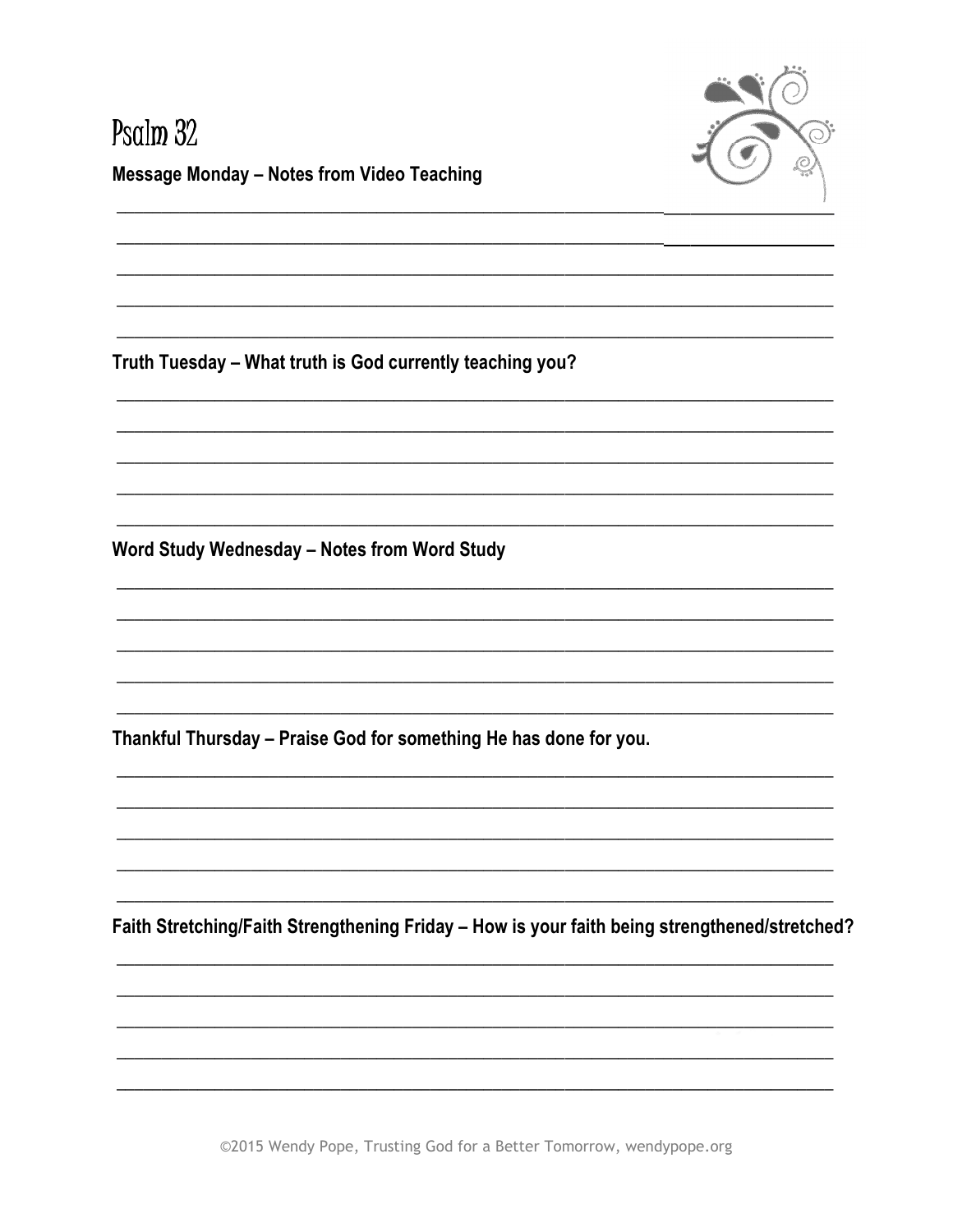

# Psalm 32 **Message Monday - Notes from Video Teaching**

Truth Tuesday - What truth is God currently teaching you?

Word Study Wednesday - Notes from Word Study

Thankful Thursday - Praise God for something He has done for you.

Faith Stretching/Faith Strengthening Friday - How is your faith being strengthened/stretched?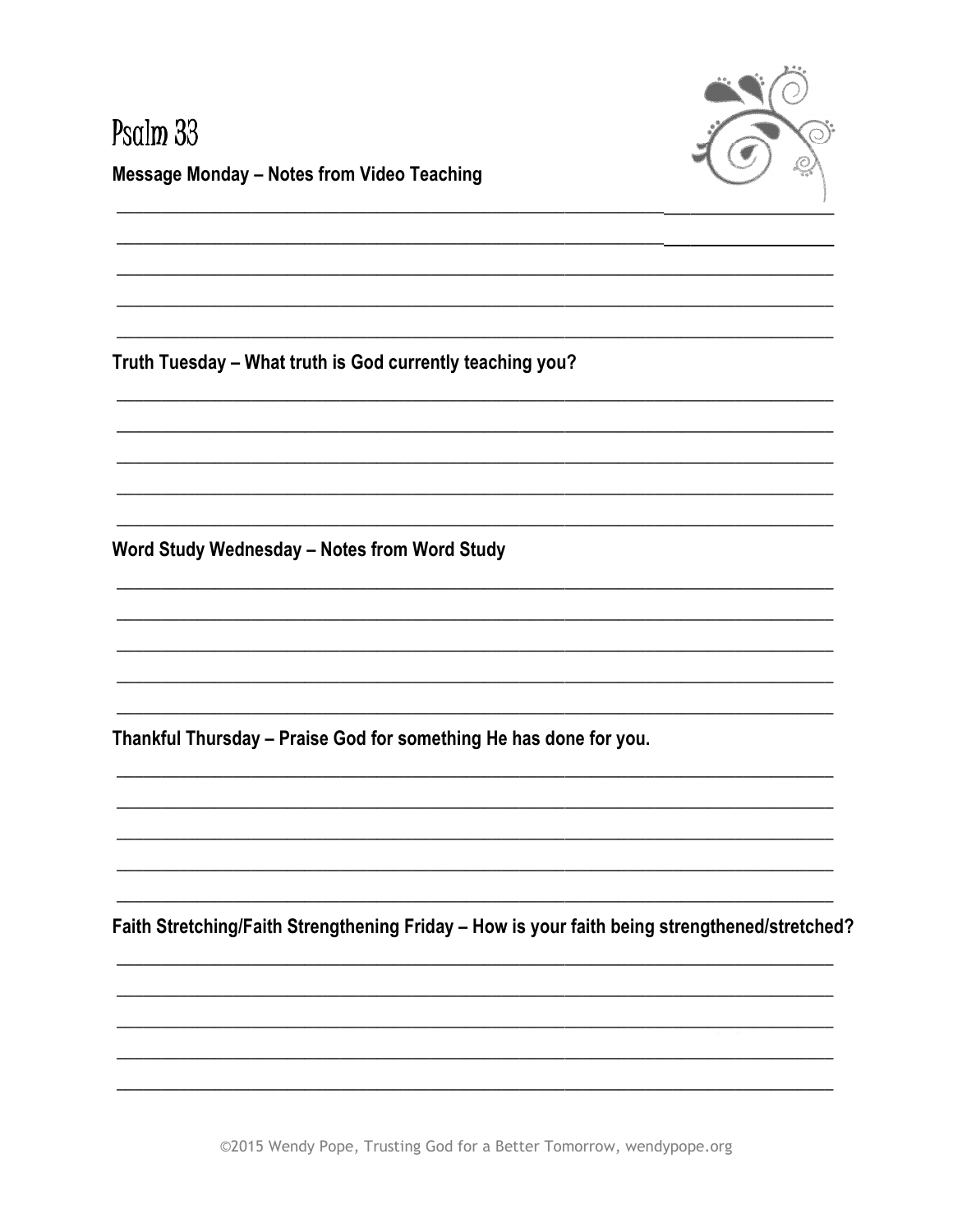

#### Psalm 33 **Message Monday - Notes from Video Teaching**

Truth Tuesday - What truth is God currently teaching you?

Word Study Wednesday - Notes from Word Study

Thankful Thursday - Praise God for something He has done for you.

Faith Stretching/Faith Strengthening Friday - How is your faith being strengthened/stretched?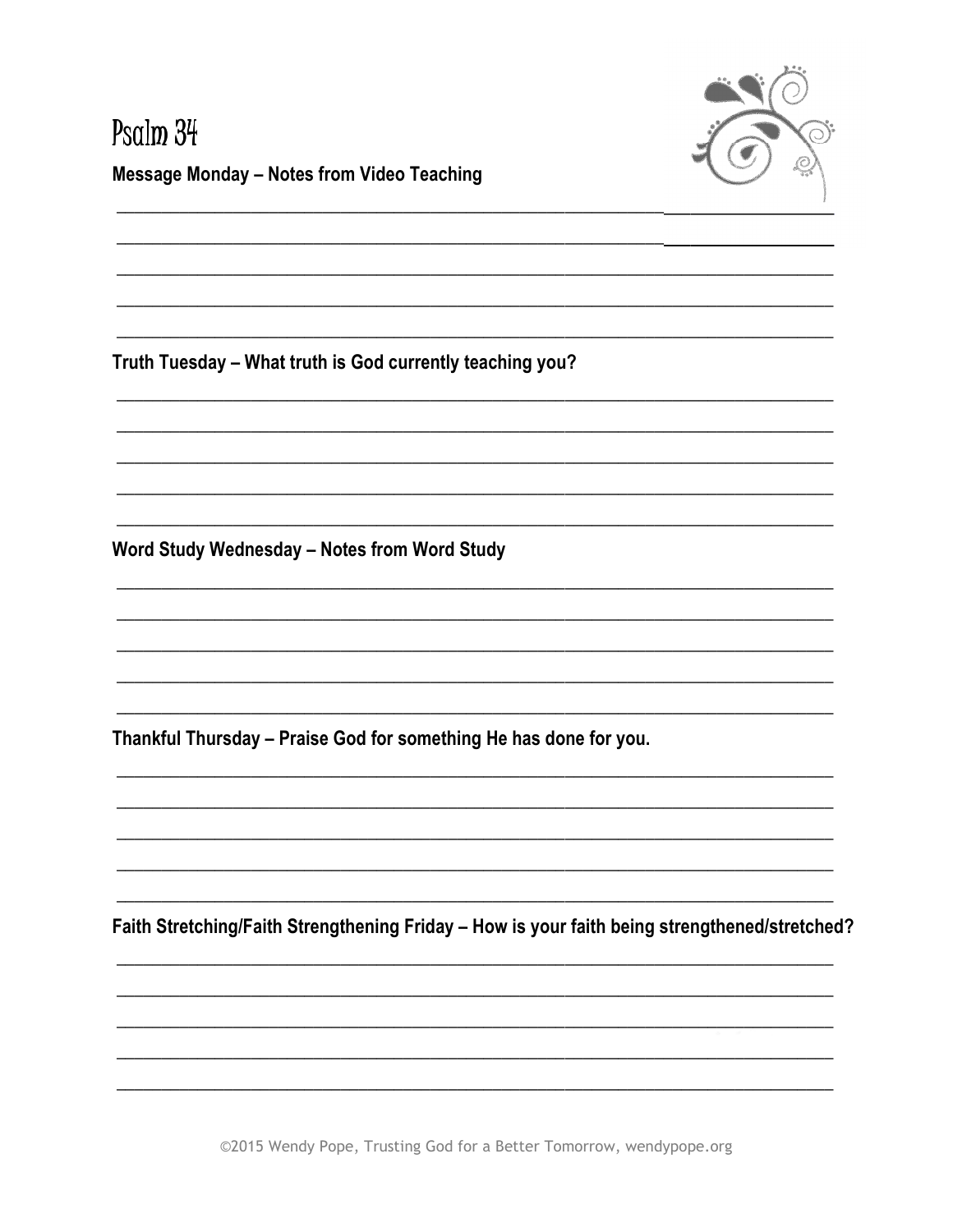

# Psalm 34 **Message Monday - Notes from Video Teaching**

Truth Tuesday - What truth is God currently teaching you?

Word Study Wednesday - Notes from Word Study

Thankful Thursday - Praise God for something He has done for you.

Faith Stretching/Faith Strengthening Friday - How is your faith being strengthened/stretched?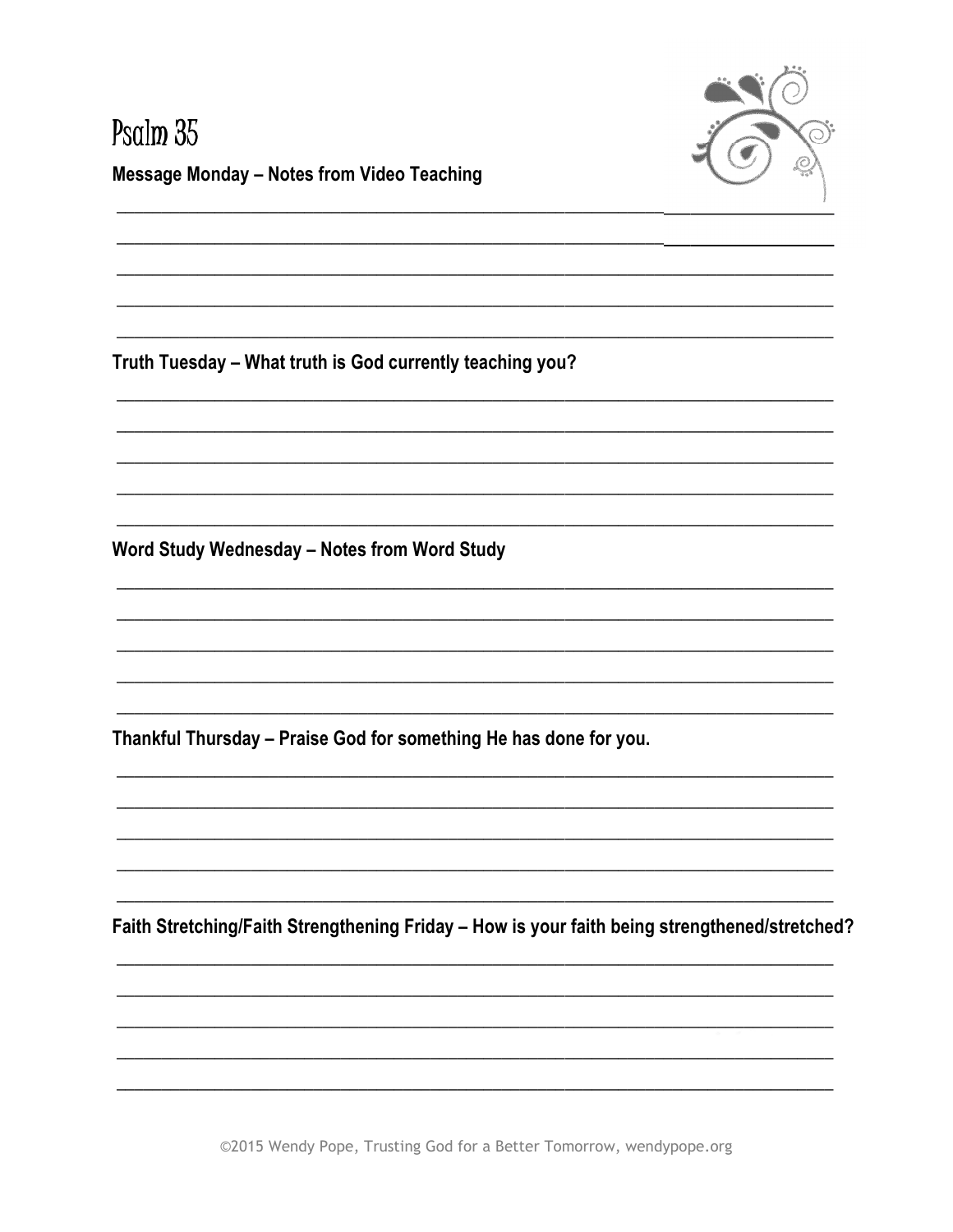

#### Psalm 35 **Message Monday - Notes from Video Teaching**

Truth Tuesday - What truth is God currently teaching you?

Word Study Wednesday - Notes from Word Study

Thankful Thursday - Praise God for something He has done for you.

Faith Stretching/Faith Strengthening Friday - How is your faith being strengthened/stretched?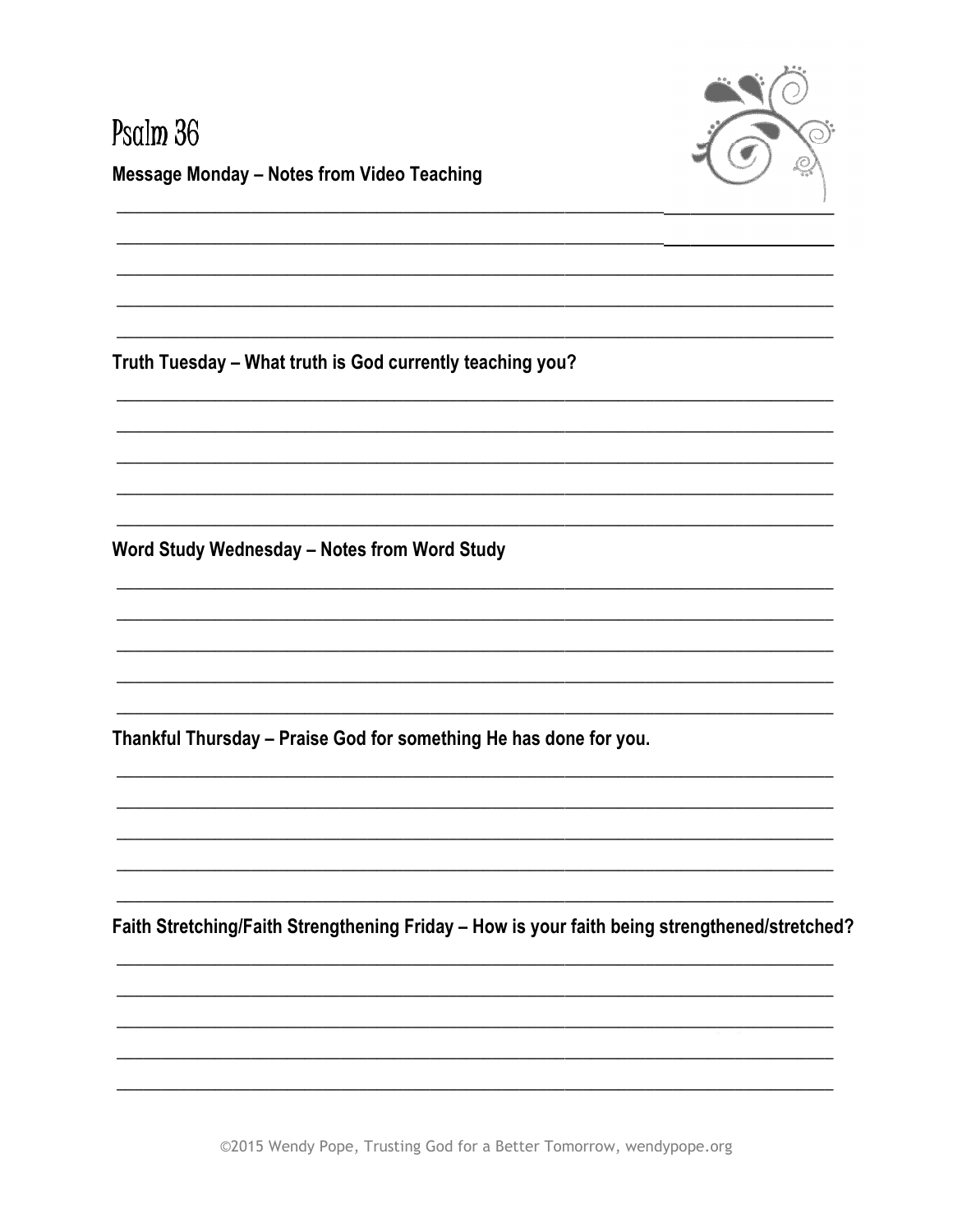

#### Psalm 36 **Message Monday - Notes from Video Teaching**

Truth Tuesday - What truth is God currently teaching you?

Word Study Wednesday - Notes from Word Study

Thankful Thursday - Praise God for something He has done for you.

Faith Stretching/Faith Strengthening Friday - How is your faith being strengthened/stretched?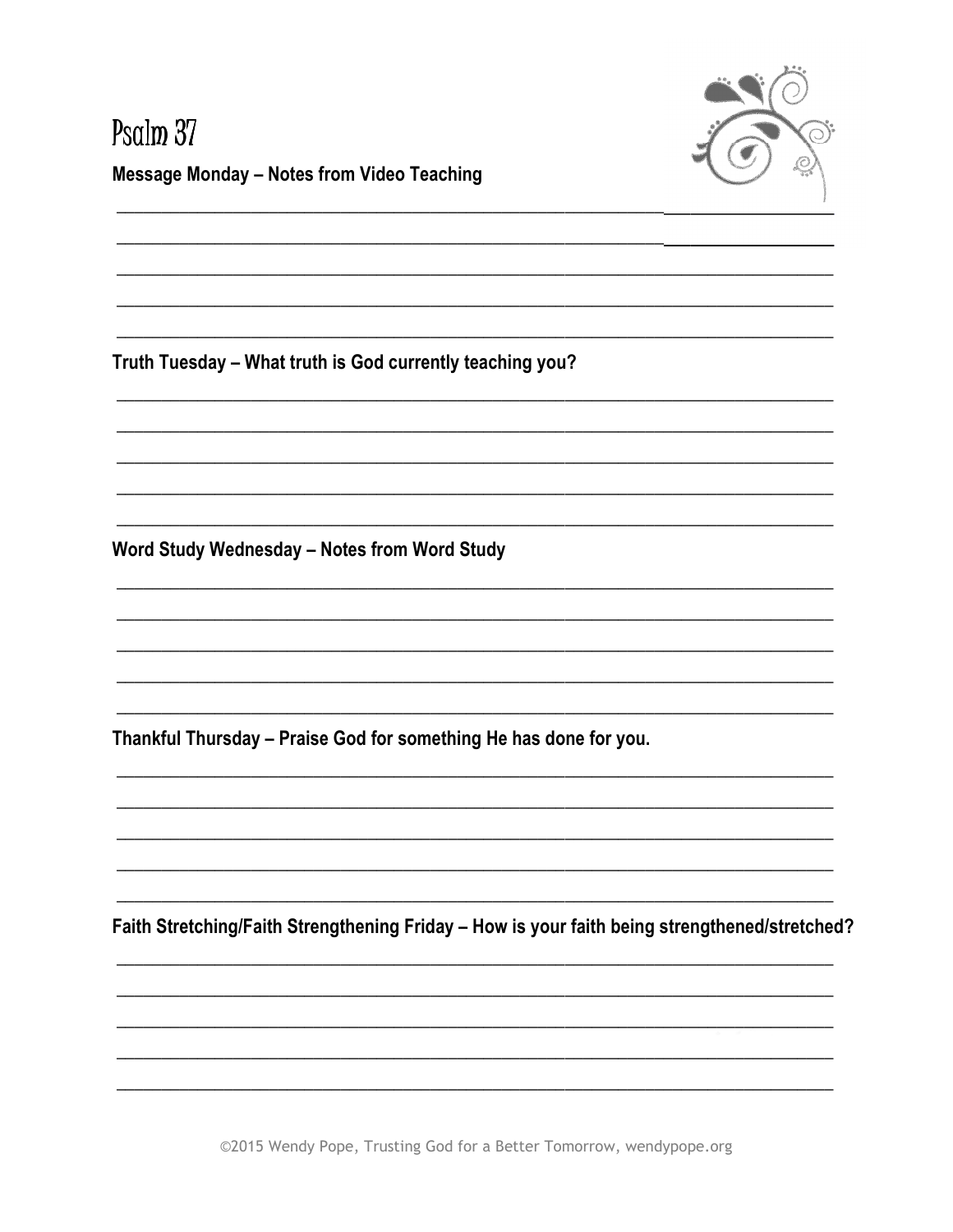

# Psalm 37 **Message Monday - Notes from Video Teaching**

Truth Tuesday - What truth is God currently teaching you?

Word Study Wednesday - Notes from Word Study

Thankful Thursday - Praise God for something He has done for you.

Faith Stretching/Faith Strengthening Friday - How is your faith being strengthened/stretched?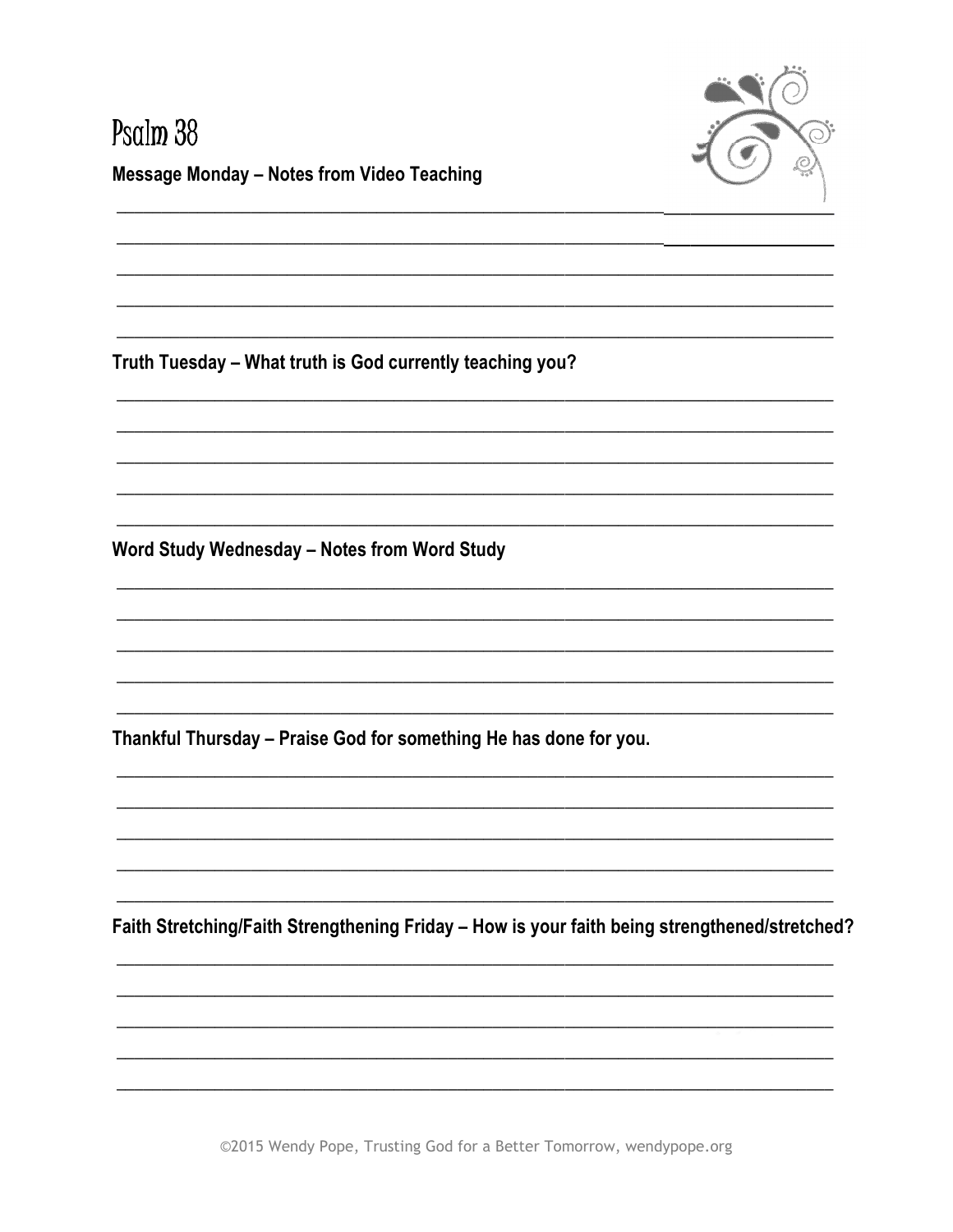

#### Psalm 38 **Message Monday - Notes from Video Teaching**

Truth Tuesday - What truth is God currently teaching you?

Word Study Wednesday - Notes from Word Study

Thankful Thursday - Praise God for something He has done for you.

Faith Stretching/Faith Strengthening Friday - How is your faith being strengthened/stretched?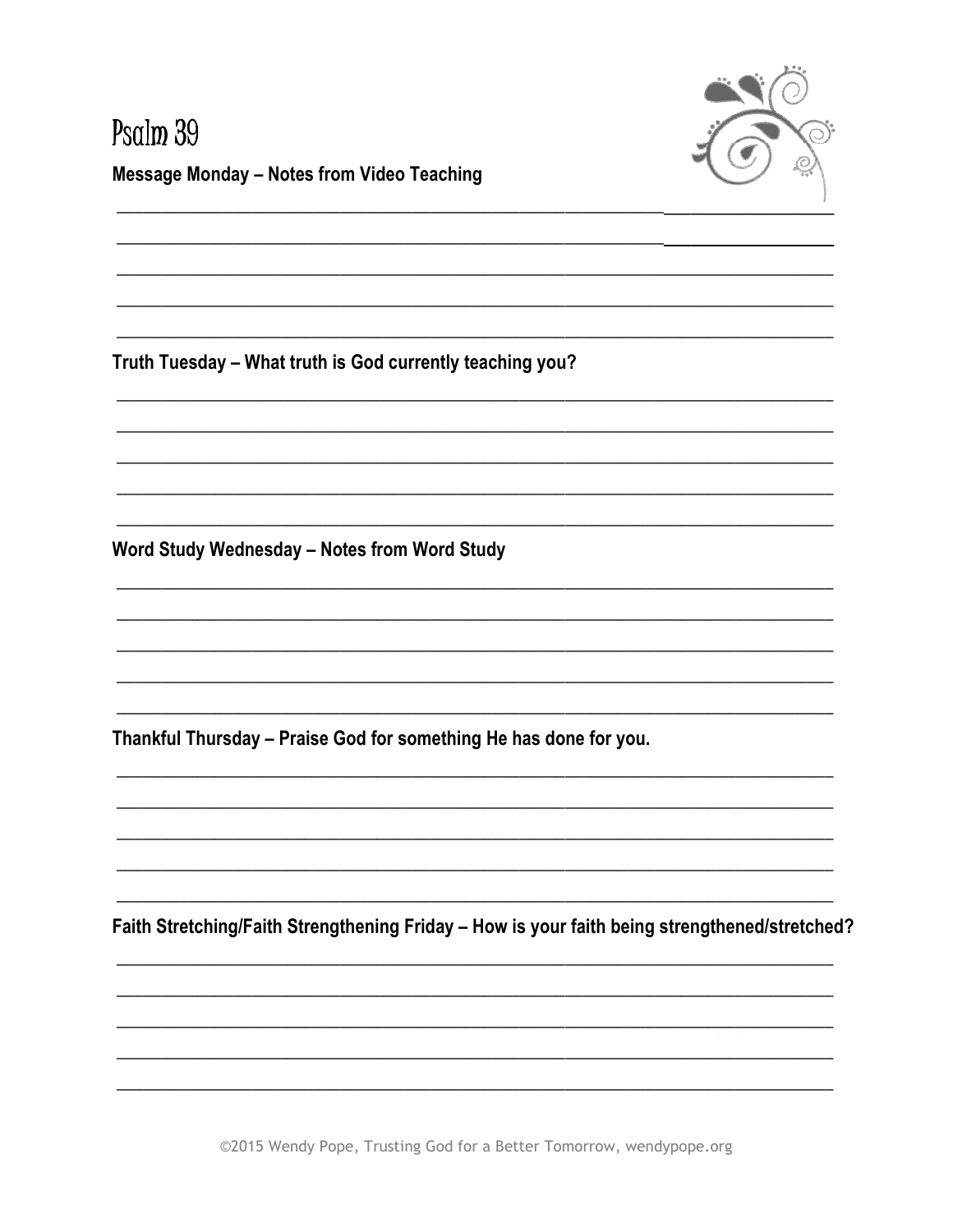

#### Psalm 39 **Message Monday - Notes from Video Teaching**

Truth Tuesday - What truth is God currently teaching you?

Word Study Wednesday - Notes from Word Study

Thankful Thursday - Praise God for something He has done for you.

Faith Stretching/Faith Strengthening Friday - How is your faith being strengthened/stretched?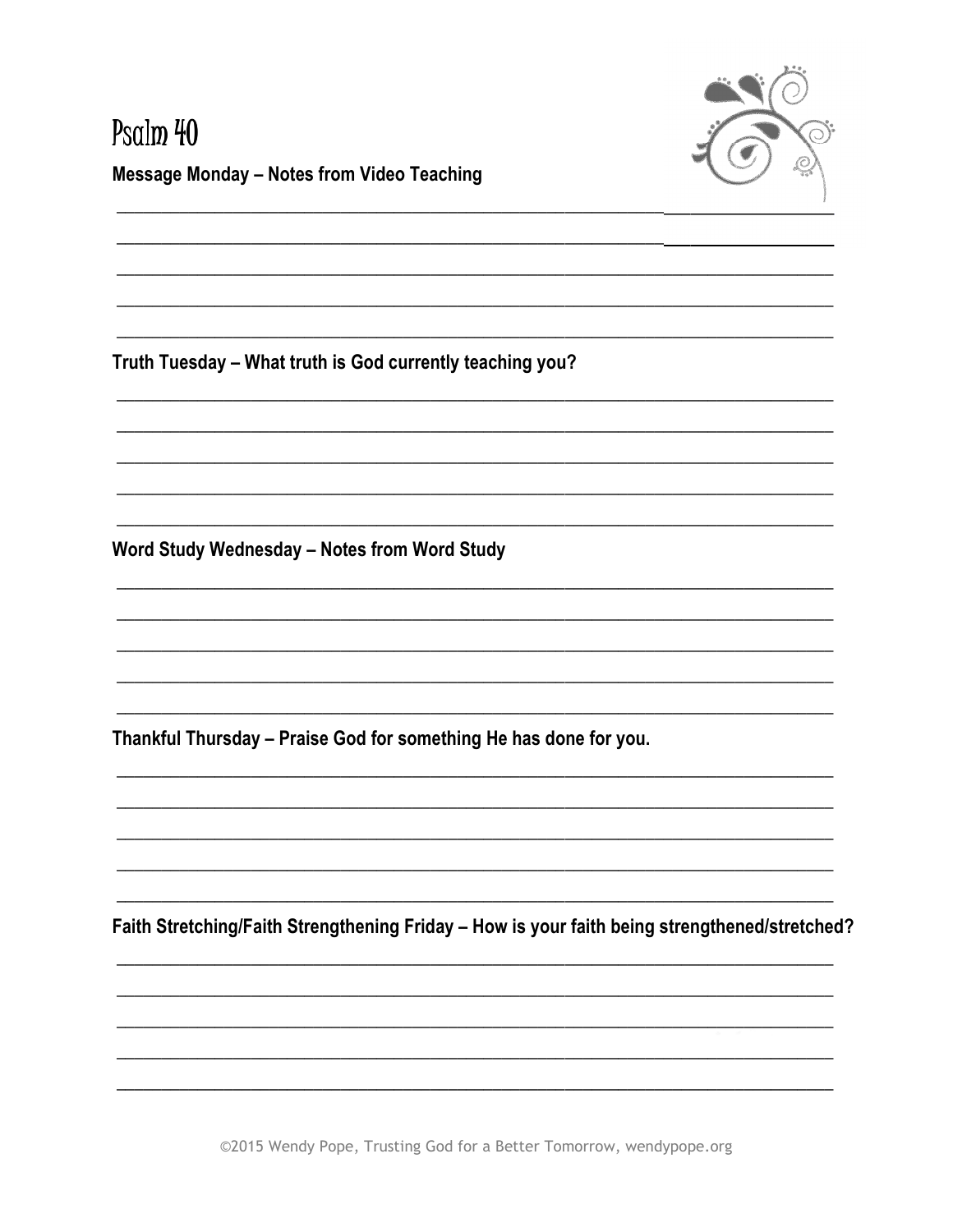

# Psalm 40 **Message Monday - Notes from Video Teaching**

Truth Tuesday - What truth is God currently teaching you?

Word Study Wednesday - Notes from Word Study

Thankful Thursday - Praise God for something He has done for you.

Faith Stretching/Faith Strengthening Friday - How is your faith being strengthened/stretched?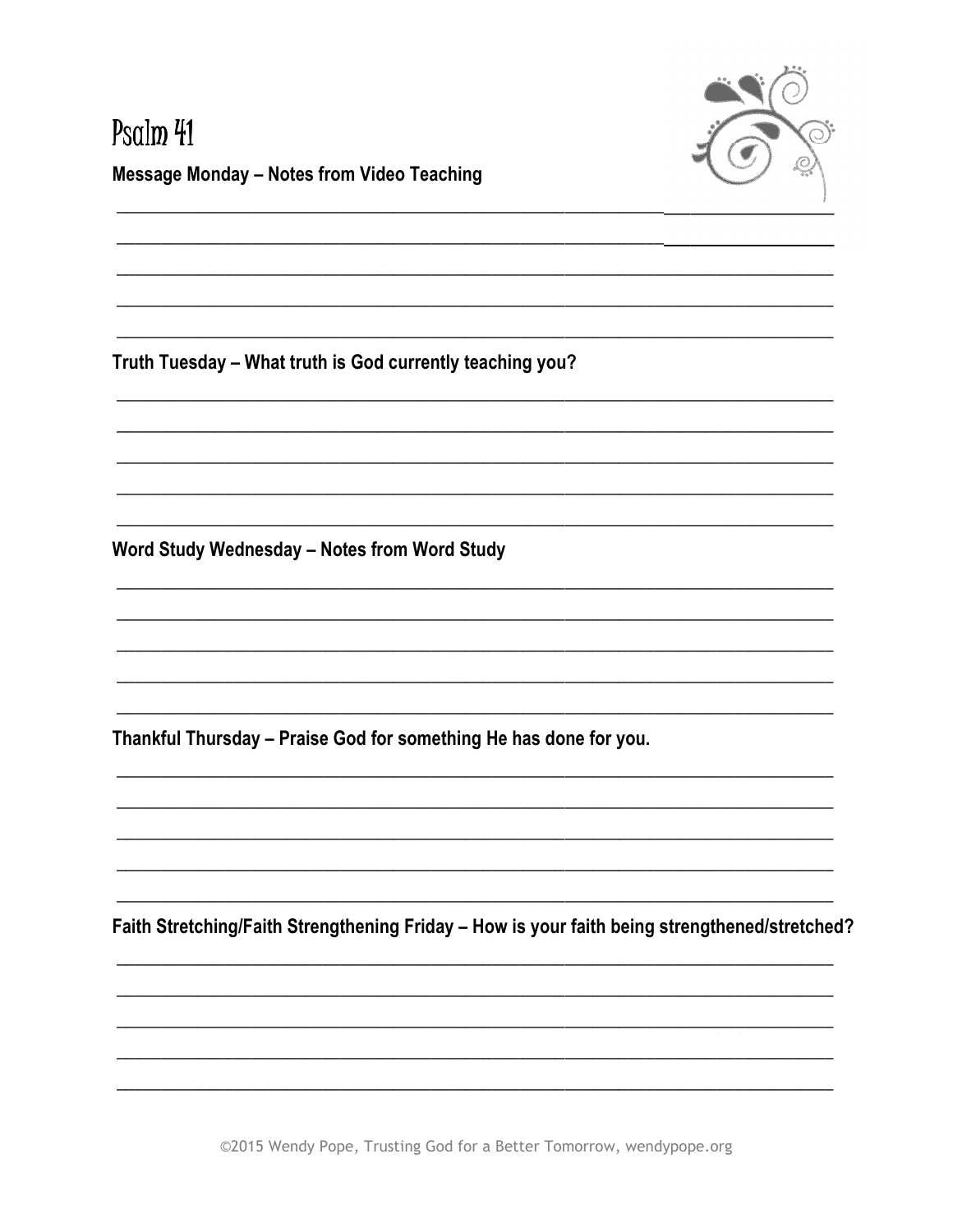

# Psalm 41 **Message Monday - Notes from Video Teaching**

Truth Tuesday - What truth is God currently teaching you?

Word Study Wednesday - Notes from Word Study

Thankful Thursday - Praise God for something He has done for you.

Faith Stretching/Faith Strengthening Friday - How is your faith being strengthened/stretched?